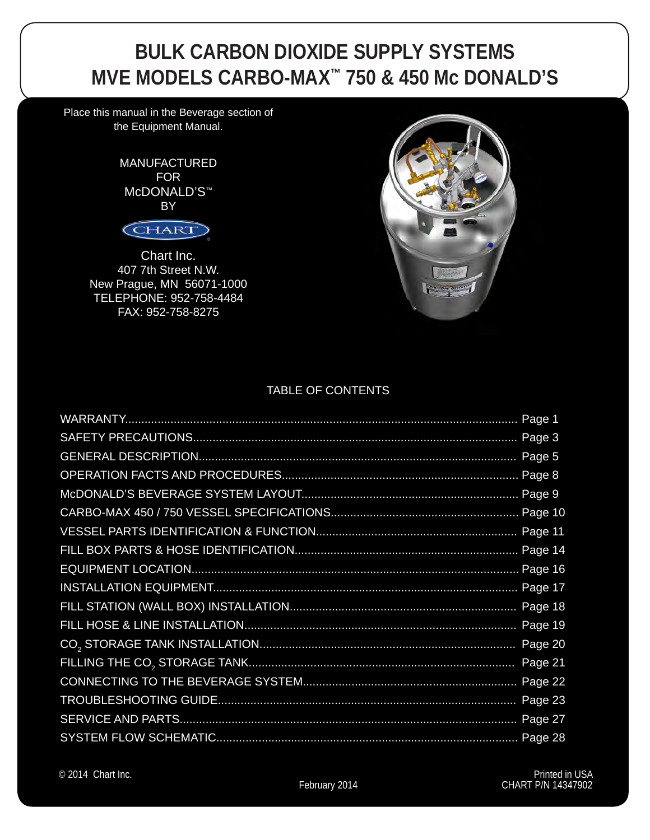## **BULK CARBON DIOXIDE SUPPLY SYSTEMS MVE MODELS CARBO-MAX™ 750 & 450 Mc DONALD'S**

Place this manual in the Beverage section of the Equipment Manual.

> **MANUFACTURED** FOR McDONALD'S™ BY



Chart Inc. 407 7th Street N.W. New Prague, MN 56071-1000 TELEPHONE: 952-758-4484 FAX: 952-758-8275



#### TABLE OF CONTENTS

| Page 1  |
|---------|
| Page 3  |
| Page 5  |
|         |
|         |
|         |
|         |
|         |
| Page 16 |
| Page 17 |
| Page 18 |
| Page 19 |
| Page 20 |
| Page 21 |
|         |
|         |
|         |
| Page 28 |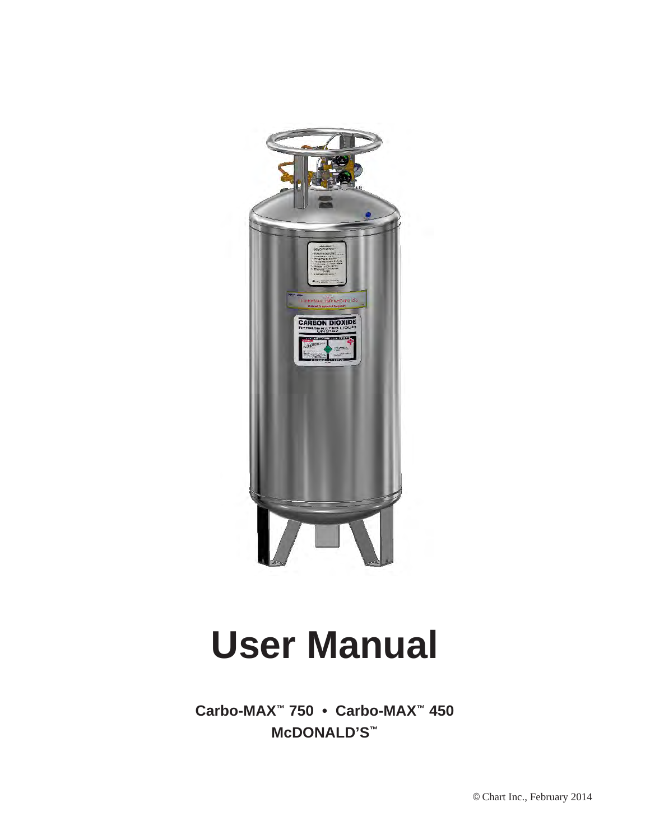

# **User Manual**

**Carbo-MAX™ 750 • Carbo-MAX™ 450 McDONALD'S™**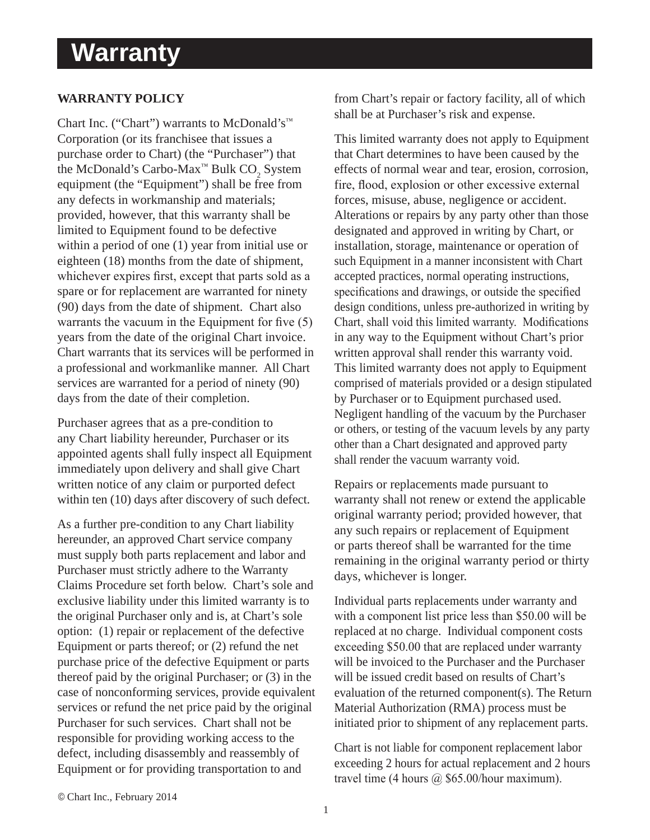## **Warranty**

#### **WARRANTY POLICY**

Chart Inc. ("Chart") warrants to McDonald's™ Corporation (or its franchisee that issues a purchase order to Chart) (the "Purchaser") that the McDonald's Carbo-Max<sup>™</sup> Bulk CO<sub>2</sub> System equipment (the "Equipment") shall be free from any defects in workmanship and materials; provided, however, that this warranty shall be limited to Equipment found to be defective within a period of one (1) year from initial use or eighteen (18) months from the date of shipment, whichever expires first, except that parts sold as a spare or for replacement are warranted for ninety (90) days from the date of shipment. Chart also warrants the vacuum in the Equipment for five (5) years from the date of the original Chart invoice. Chart warrants that its services will be performed in a professional and workmanlike manner. All Chart services are warranted for a period of ninety (90) days from the date of their completion.

Purchaser agrees that as a pre-condition to any Chart liability hereunder, Purchaser or its appointed agents shall fully inspect all Equipment immediately upon delivery and shall give Chart written notice of any claim or purported defect within ten (10) days after discovery of such defect.

As a further pre-condition to any Chart liability hereunder, an approved Chart service company must supply both parts replacement and labor and Purchaser must strictly adhere to the Warranty Claims Procedure set forth below. Chart's sole and exclusive liability under this limited warranty is to the original Purchaser only and is, at Chart's sole option: (1) repair or replacement of the defective Equipment or parts thereof; or (2) refund the net purchase price of the defective Equipment or parts thereof paid by the original Purchaser; or (3) in the case of nonconforming services, provide equivalent services or refund the net price paid by the original Purchaser for such services. Chart shall not be responsible for providing working access to the defect, including disassembly and reassembly of Equipment or for providing transportation to and

from Chart's repair or factory facility, all of which shall be at Purchaser's risk and expense.

This limited warranty does not apply to Equipment that Chart determines to have been caused by the effects of normal wear and tear, erosion, corrosion, fire, flood, explosion or other excessive external forces, misuse, abuse, negligence or accident. Alterations or repairs by any party other than those designated and approved in writing by Chart, or installation, storage, maintenance or operation of such Equipment in a manner inconsistent with Chart accepted practices, normal operating instructions, specifications and drawings, or outside the specified design conditions, unless pre-authorized in writing by Chart, shall void this limited warranty. Modifications in any way to the Equipment without Chart's prior written approval shall render this warranty void. This limited warranty does not apply to Equipment comprised of materials provided or a design stipulated by Purchaser or to Equipment purchased used. Negligent handling of the vacuum by the Purchaser or others, or testing of the vacuum levels by any party other than a Chart designated and approved party shall render the vacuum warranty void.

Repairs or replacements made pursuant to warranty shall not renew or extend the applicable original warranty period; provided however, that any such repairs or replacement of Equipment or parts thereof shall be warranted for the time remaining in the original warranty period or thirty days, whichever is longer.

Individual parts replacements under warranty and with a component list price less than \$50.00 will be replaced at no charge. Individual component costs exceeding \$50.00 that are replaced under warranty will be invoiced to the Purchaser and the Purchaser will be issued credit based on results of Chart's evaluation of the returned component(s). The Return Material Authorization (RMA) process must be initiated prior to shipment of any replacement parts.

Chart is not liable for component replacement labor exceeding 2 hours for actual replacement and 2 hours travel time (4 hours  $\omega$  \$65.00/hour maximum).

© Chart Inc., February 2014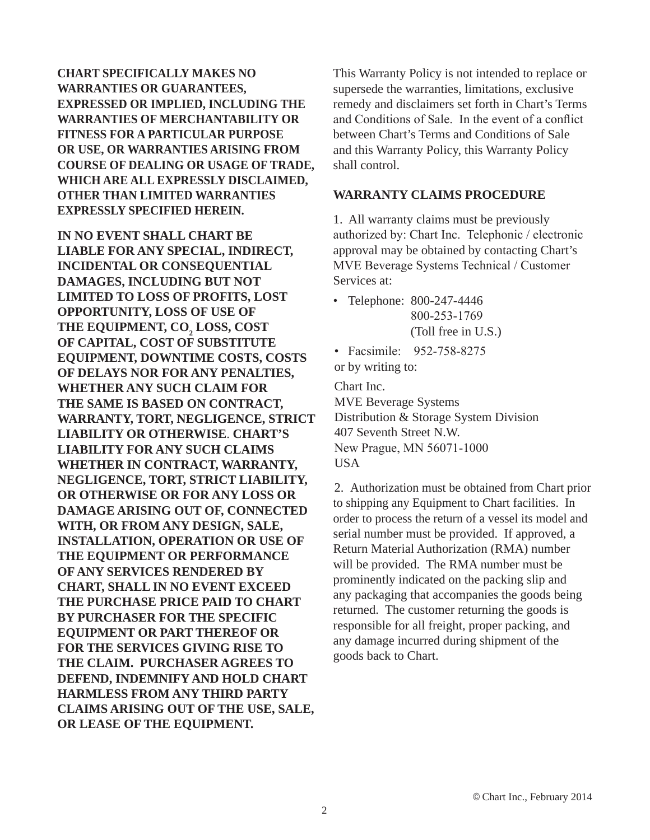**CHART SPECIFICALLY MAKES NO WARRANTIES OR GUARANTEES, EXPRESSED OR IMPLIED, INCLUDING THE WARRANTIES OF MERCHANTABILITY OR FITNESS FOR A PARTICULAR PURPOSE OR USE, OR WARRANTIES ARISING FROM COURSE OF DEALING OR USAGE OF TRADE, WHICH ARE ALL EXPRESSLY DISCLAIMED, OTHER THAN LIMITED WARRANTIES EXPRESSLY SPECIFIED HEREIN.** 

**IN NO EVENT SHALL CHART BE LIABLE FOR ANY SPECIAL, INDIRECT, INCIDENTAL OR CONSEQUENTIAL DAMAGES, INCLUDING BUT NOT LIMITED TO LOSS OF PROFITS, LOST OPPORTUNITY, LOSS OF USE OF**  THE EQUIPMENT, CO<sub>2</sub> LOSS, COST **OF CAPITAL, COST OF SUBSTITUTE EQUIPMENT, DOWNTIME COSTS, COSTS OF DELAYS NOR FOR ANY PENALTIES, WHETHER ANY SUCH CLAIM FOR THE SAME IS BASED ON CONTRACT, WARRANTY, TORT, NEGLIGENCE, STRICT LIABILITY OR OTHERWISE**. **CHART'S LIABILITY FOR ANY SUCH CLAIMS WHETHER IN CONTRACT, WARRANTY, NEGLIGENCE, TORT, STRICT LIABILITY, OR OTHERWISE OR FOR ANY LOSS OR DAMAGE ARISING OUT OF, CONNECTED WITH, OR FROM ANY DESIGN, SALE, INSTALLATION, OPERATION OR USE OF THE EQUIPMENT OR PERFORMANCE OF ANY SERVICES RENDERED BY CHART, SHALL IN NO EVENT EXCEED THE PURCHASE PRICE PAID TO CHART BY PURCHASER FOR THE SPECIFIC EQUIPMENT OR PART THEREOF OR FOR THE SERVICES GIVING RISE TO THE CLAIM. PURCHASER AGREES TO DEFEND, INDEMNIFY AND HOLD CHART HARMLESS FROM ANY THIRD PARTY CLAIMS ARISING OUT OF THE USE, SALE, OR LEASE OF THE EQUIPMENT.**

This Warranty Policy is not intended to replace or supersede the warranties, limitations, exclusive remedy and disclaimers set forth in Chart's Terms and Conditions of Sale. In the event of a conflict between Chart's Terms and Conditions of Sale and this Warranty Policy, this Warranty Policy shall control.

#### **WARRANTY CLAIMS PROCEDURE**

1. All warranty claims must be previously authorized by: Chart Inc. Telephonic / electronic approval may be obtained by contacting Chart's MVE Beverage Systems Technical / Customer Services at:

- Telephone: 800-247-4446 800-253-1769 (Toll free in U.S.)
- Facsimile: 952-758-8275 or by writing to:

Chart Inc. MVE Beverage Systems Distribution & Storage System Division 407 Seventh Street N.W. New Prague, MN 56071-1000 **USA** 

2. Authorization must be obtained from Chart prior to shipping any Equipment to Chart facilities. In order to process the return of a vessel its model and serial number must be provided. If approved, a Return Material Authorization (RMA) number will be provided. The RMA number must be prominently indicated on the packing slip and any packaging that accompanies the goods being returned. The customer returning the goods is responsible for all freight, proper packing, and any damage incurred during shipment of the goods back to Chart.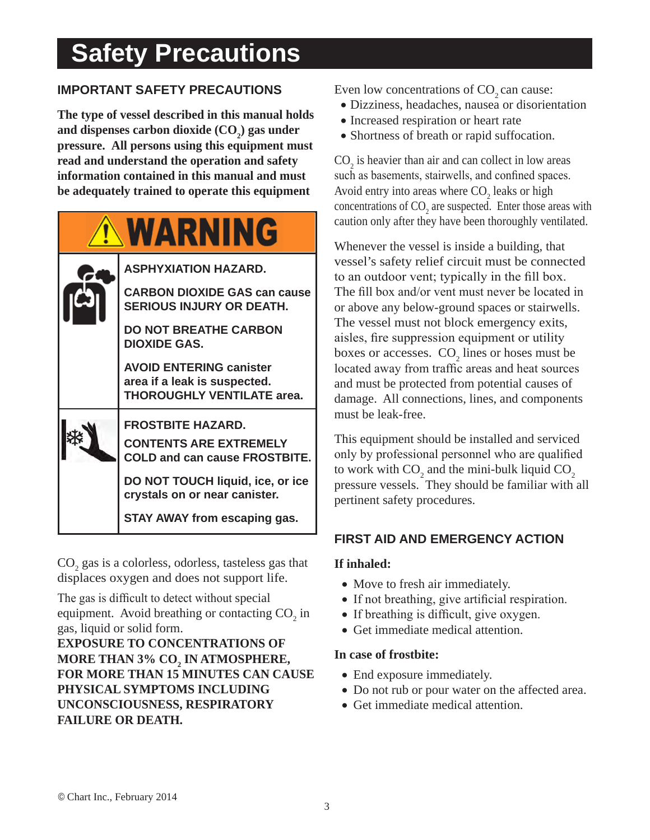# **Safety Precautions**

#### **IMPORTANT SAFETY PRECAUTIONS**

**The type of vessel described in this manual holds**  and dispenses carbon dioxide (CO<sub>2</sub>) gas under **pressure. All persons using this equipment must read and understand the operation and safety information contained in this manual and must be adequately trained to operate this equipment**

| <b>WARNING</b> |                                                                                                     |  |  |  |
|----------------|-----------------------------------------------------------------------------------------------------|--|--|--|
|                | <b>ASPHYXIATION HAZARD.</b>                                                                         |  |  |  |
|                | <b>CARBON DIOXIDE GAS can cause</b><br><b>SERIOUS INJURY OR DEATH.</b>                              |  |  |  |
|                | <b>DO NOT BREATHE CARBON</b><br><b>DIOXIDE GAS.</b>                                                 |  |  |  |
|                | <b>AVOID ENTERING canister</b><br>area if a leak is suspected.<br><b>THOROUGHLY VENTILATE area.</b> |  |  |  |
|                | <b>FROSTBITE HAZARD.</b><br><b>CONTENTS ARE EXTREMELY</b><br><b>COLD and can cause FROSTBITE.</b>   |  |  |  |
|                | DO NOT TOUCH liquid, ice, or ice<br>crystals on or near canister.                                   |  |  |  |
|                | <b>STAY AWAY from escaping gas.</b>                                                                 |  |  |  |

 $\mathrm{CO}_2$  gas is a colorless, odorless, tasteless gas that displaces oxygen and does not support life.

The gas is difficult to detect without special equipment. Avoid breathing or contacting  $CO_2$  in gas, liquid or solid form.

**EXPOSURE TO CONCENTRATIONS OF MORE THAN 3% CO2 IN ATMOSPHERE, FOR MORE THAN 15 MINUTES CAN CAUSE PHYSICAL SYMPTOMS INCLUDING UNCONSCIOUSNESS, RESPIRATORY FAILURE OR DEATH.** 

Even low concentrations of  $CO$ , can cause:

- • Dizziness, headaches, nausea or disorientation
- Increased respiration or heart rate
- Shortness of breath or rapid suffocation.

 $CO<sub>2</sub>$  is heavier than air and can collect in low areas such as basements, stairwells, and confined spaces. Avoid entry into areas where  $CO<sub>2</sub>$  leaks or high concentrations of  $CO_2$  are suspected. Enter those areas with caution only after they have been thoroughly ventilated.

Whenever the vessel is inside a building, that vessel's safety relief circuit must be connected to an outdoor vent; typically in the fill box. The fill box and/or vent must never be located in or above any below-ground spaces or stairwells. The vessel must not block emergency exits, aisles, fire suppression equipment or utility boxes or accesses.  $CO<sub>2</sub>$  lines or hoses must be located away from traffic areas and heat sources and must be protected from potential causes of damage. All connections, lines, and components must be leak-free.

This equipment should be installed and serviced only by professional personnel who are qualified to work with  $CO_2$  and the mini-bulk liquid  $CO_2$ pressure vessels. They should be familiar with all pertinent safety procedures.

#### **FIRST AID AND EMERGENCY ACTION**

#### **If inhaled:**

- Move to fresh air immediately.
- If not breathing, give artificial respiration.
- If breathing is difficult, give oxygen.
- Get immediate medical attention.

#### **In case of frostbite:**

- End exposure immediately.
- • Do not rub or pour water on the affected area.
- Get immediate medical attention.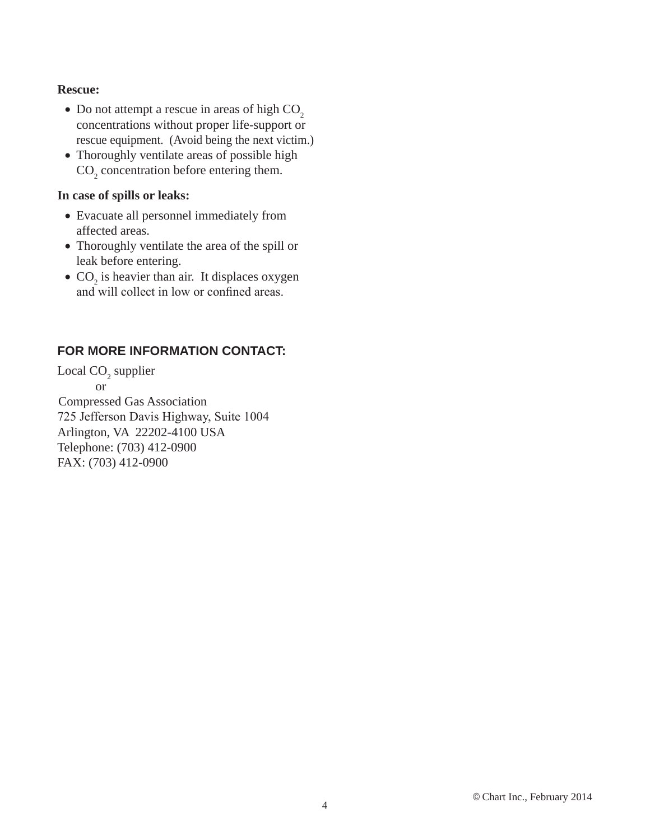#### **Rescue:**

- Do not attempt a rescue in areas of high  $CO<sub>2</sub>$ concentrations without proper life-support or rescue equipment. (Avoid being the next victim.)
- Thoroughly ventilate areas of possible high  $CO<sub>2</sub>$  concentration before entering them.

#### **In case of spills or leaks:**

- Evacuate all personnel immediately from affected areas.
- Thoroughly ventilate the area of the spill or leak before entering.
- $CO<sub>2</sub>$  is heavier than air. It displaces oxygen and will collect in low or confined areas.

#### **FOR MORE INFORMATION CONTACT:**

Local  $\mathrm{CO}_2$  supplier or Compressed Gas Association 725 Jefferson Davis Highway, Suite 1004 Arlington, VA 22202-4100 USA Telephone: (703) 412-0900 FAX: (703) 412-0900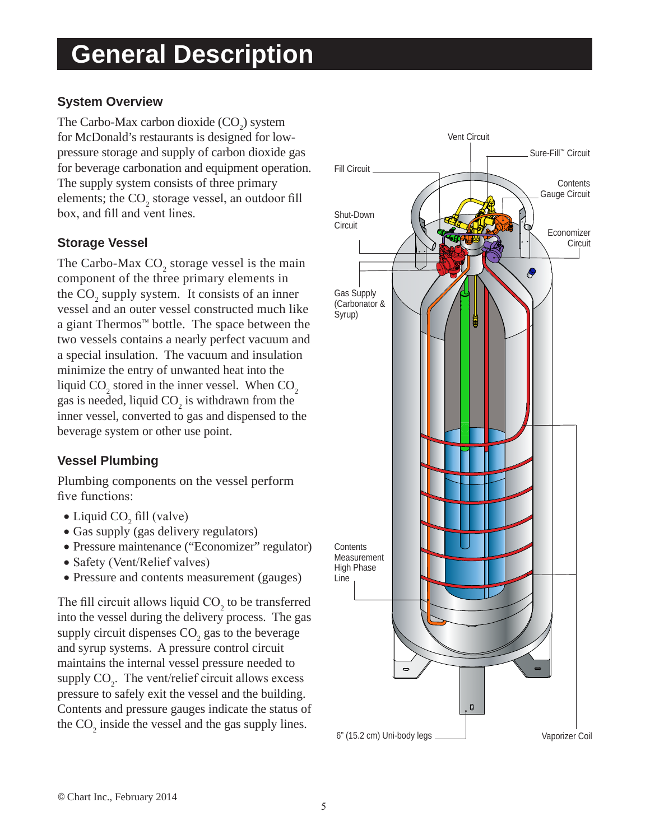# **General Description**

#### **System Overview**

The Carbo-Max carbon dioxide  $(CO_2)$  system for McDonald's restaurants is designed for lowpressure storage and supply of carbon dioxide gas for beverage carbonation and equipment operation. The supply system consists of three primary elements; the  $CO_2$  storage vessel, an outdoor fill box, and fill and vent lines.

#### **Storage Vessel**

The Carbo-Max  $CO_2$  storage vessel is the main component of the three primary elements in the  $CO_2$  supply system. It consists of an inner vessel and an outer vessel constructed much like a giant Thermos™ bottle. The space between the two vessels contains a nearly perfect vacuum and a special insulation. The vacuum and insulation minimize the entry of unwanted heat into the liquid  $CO_2$  stored in the inner vessel. When  $CO_2$ gas is needed, liquid  $CO_2$  is withdrawn from the inner vessel, converted to gas and dispensed to the beverage system or other use point.

#### **Vessel Plumbing**

Plumbing components on the vessel perform five functions:

- Liquid  $CO<sub>2</sub>$  fill (valve)
- Gas supply (gas delivery regulators)
- Pressure maintenance ("Economizer" regulator)
- Safety (Vent/Relief valves)
- Pressure and contents measurement (gauges)

The fill circuit allows liquid  $CO<sub>2</sub>$  to be transferred into the vessel during the delivery process. The gas supply circuit dispenses  $CO_2$  gas to the beverage and syrup systems. A pressure control circuit maintains the internal vessel pressure needed to supply  $CO<sub>2</sub>$ . The vent/relief circuit allows excess pressure to safely exit the vessel and the building. Contents and pressure gauges indicate the status of the  $CO_2$  inside the vessel and the gas supply lines.

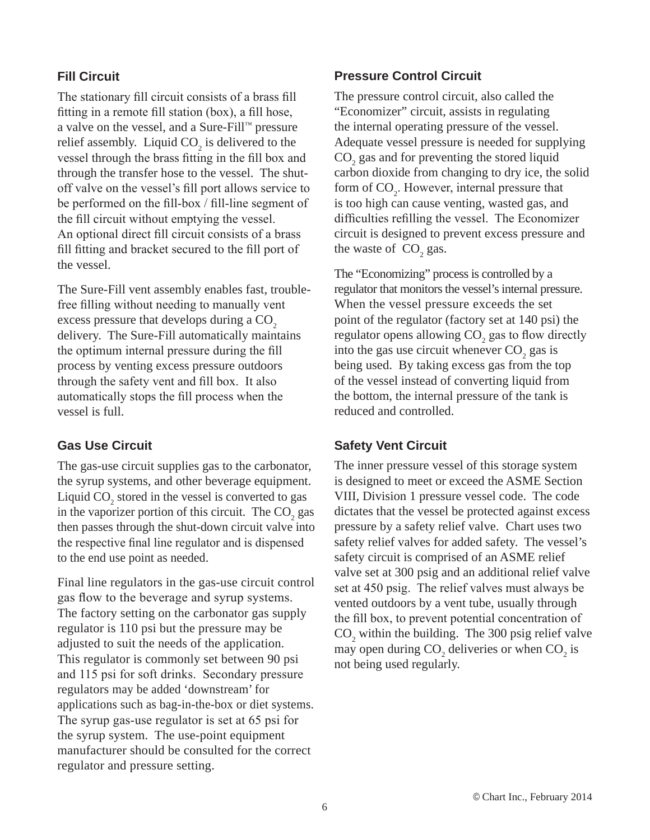#### **Fill Circuit**

The stationary fill circuit consists of a brass fill fitting in a remote fill station (box), a fill hose, a valve on the vessel, and a Sure-Fill™ pressure relief assembly. Liquid  $CO_2$  is delivered to the vessel through the brass fitting in the fill box and through the transfer hose to the vessel. The shutoff valve on the vessel's fill port allows service to be performed on the fill-box / fill-line segment of the fill circuit without emptying the vessel. An optional direct fill circuit consists of a brass fill fitting and bracket secured to the fill port of the vessel.

The Sure-Fill vent assembly enables fast, troublefree filling without needing to manually vent excess pressure that develops during a CO<sub>2</sub> delivery. The Sure-Fill automatically maintains the optimum internal pressure during the fill process by venting excess pressure outdoors through the safety vent and fill box. It also automatically stops the fill process when the vessel is full.

#### **Gas Use Circuit**

The gas-use circuit supplies gas to the carbonator, the syrup systems, and other beverage equipment. Liquid  $CO_2$  stored in the vessel is converted to gas in the vaporizer portion of this circuit. The  $CO<sub>2</sub>$  gas then passes through the shut-down circuit valve into the respective final line regulator and is dispensed to the end use point as needed.

Final line regulators in the gas-use circuit control gas flow to the beverage and syrup systems. The factory setting on the carbonator gas supply regulator is 110 psi but the pressure may be adjusted to suit the needs of the application. This regulator is commonly set between 90 psi and 115 psi for soft drinks. Secondary pressure regulators may be added 'downstream' for applications such as bag-in-the-box or diet systems. The syrup gas-use regulator is set at 65 psi for the syrup system. The use-point equipment manufacturer should be consulted for the correct regulator and pressure setting.

#### **Pressure Control Circuit**

The pressure control circuit, also called the "Economizer" circuit, assists in regulating the internal operating pressure of the vessel. Adequate vessel pressure is needed for supplying  $CO<sub>2</sub>$  gas and for preventing the stored liquid carbon dioxide from changing to dry ice, the solid form of  $CO<sub>2</sub>$ . However, internal pressure that is too high can cause venting, wasted gas, and difficulties refilling the vessel. The Economizer circuit is designed to prevent excess pressure and the waste of  $CO<sub>2</sub>$  gas.

The "Economizing" process is controlled by a regulator that monitors the vessel's internal pressure. When the vessel pressure exceeds the set point of the regulator (factory set at 140 psi) the regulator opens allowing  $CO_2$  gas to flow directly into the gas use circuit whenever  $CO<sub>2</sub>$  gas is being used. By taking excess gas from the top of the vessel instead of converting liquid from the bottom, the internal pressure of the tank is reduced and controlled.

#### **Safety Vent Circuit**

The inner pressure vessel of this storage system is designed to meet or exceed the ASME Section VIII, Division 1 pressure vessel code. The code dictates that the vessel be protected against excess pressure by a safety relief valve. Chart uses two safety relief valves for added safety. The vessel's safety circuit is comprised of an ASME relief valve set at 300 psig and an additional relief valve set at 450 psig. The relief valves must always be vented outdoors by a vent tube, usually through the fill box, to prevent potential concentration of  $CO<sub>2</sub>$  within the building. The 300 psig relief valve may open during  $CO_2$  deliveries or when  $CO_2$  is not being used regularly.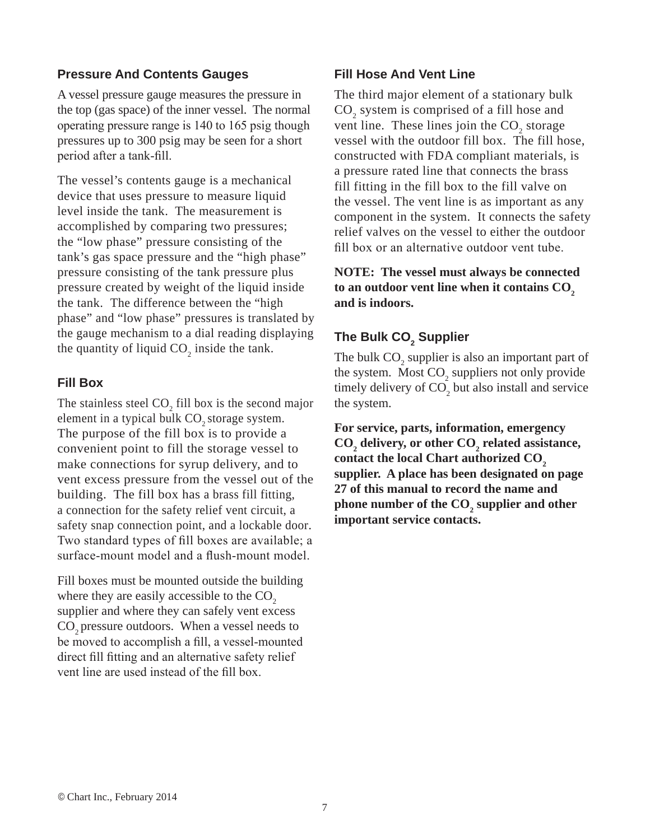#### **Pressure And Contents Gauges**

A vessel pressure gauge measures the pressure in the top (gas space) of the inner vessel. The normal operating pressure range is 140 to 165 psig though pressures up to 300 psig may be seen for a short period after a tank-fill.

The vessel's contents gauge is a mechanical device that uses pressure to measure liquid level inside the tank. The measurement is accomplished by comparing two pressures; the "low phase" pressure consisting of the tank's gas space pressure and the "high phase" pressure consisting of the tank pressure plus pressure created by weight of the liquid inside the tank. The difference between the "high phase" and "low phase" pressures is translated by the gauge mechanism to a dial reading displaying the quantity of liquid  $CO_2$  inside the tank.

#### **Fill Box**

The stainless steel  $CO_2$  fill box is the second major element in a typical bulk CO<sub>2</sub> storage system. The purpose of the fill box is to provide a convenient point to fill the storage vessel to make connections for syrup delivery, and to vent excess pressure from the vessel out of the building. The fill box has a brass fill fitting, a connection for the safety relief vent circuit, a safety snap connection point, and a lockable door. Two standard types of fill boxes are available; a surface-mount model and a flush-mount model.

Fill boxes must be mounted outside the building where they are easily accessible to the  $CO<sub>2</sub>$ supplier and where they can safely vent excess CO<sub>2</sub> pressure outdoors. When a vessel needs to be moved to accomplish a fill, a vessel-mounted direct fill fitting and an alternative safety relief vent line are used instead of the fill box.

#### **Fill Hose And Vent Line**

The third major element of a stationary bulk  $CO<sub>2</sub>$  system is comprised of a fill hose and vent line. These lines join the  $CO_2$  storage vessel with the outdoor fill box. The fill hose, constructed with FDA compliant materials, is a pressure rated line that connects the brass fill fitting in the fill box to the fill valve on the vessel. The vent line is as important as any component in the system. It connects the safety relief valves on the vessel to either the outdoor fill box or an alternative outdoor vent tube.

#### **NOTE: The vessel must always be connected**  to an outdoor vent line when it contains CO<sub>2</sub> **and is indoors.**

## **The Bulk CO2 Supplier**

The bulk  $CO_2$  supplier is also an important part of the system. Most  $CO_2$  suppliers not only provide timely delivery of  $CO<sub>2</sub>$  but also install and service the system.

**For service, parts, information, emergency**  CO<sub>2</sub> delivery, or other CO<sub>2</sub> related assistance, contact the local Chart authorized CO<sub>2</sub> **supplier. A place has been designated on page 27 of this manual to record the name and**  phone number of the  $\mathrm{CO}_2^{}$  supplier and other **important service contacts.**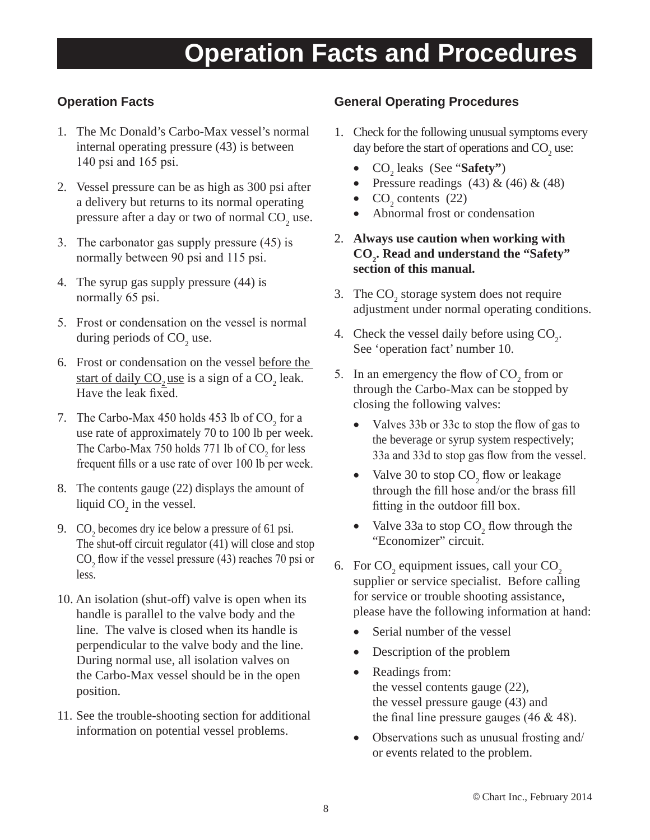# **Operation Facts and Procedures**

#### **Operation Facts**

- 1. The Mc Donald's Carbo-Max vessel's normal internal operating pressure (43) is between 140 psi and 165 psi.
- 2. Vessel pressure can be as high as 300 psi after a delivery but returns to its normal operating pressure after a day or two of normal  $\mathrm{CO}_2^{\vphantom{\dagger}}$  use.
- 3. The carbonator gas supply pressure (45) is normally between 90 psi and 115 psi.
- 4. The syrup gas supply pressure (44) is normally 65 psi.
- 5. Frost or condensation on the vessel is normal during periods of  $CO<sub>2</sub>$  use.
- 6. Frost or condensation on the vessel before the start of daily  $CO_2$  use is a sign of a  $CO_2$  leak. Have the leak fixed.
- 7. The Carbo-Max 450 holds 453 lb of  $CO_2$  for a use rate of approximately 70 to 100 lb per week. The Carbo-Max 750 holds 771 lb of  $CO_2$  for less frequent fills or a use rate of over 100 lb per week.
- 8. The contents gauge (22) displays the amount of liquid  $CO_2$  in the vessel.
- 9.  $CO_2$  becomes dry ice below a pressure of 61 psi. The shut-off circuit regulator (41) will close and stop  $CO<sub>2</sub>$  flow if the vessel pressure (43) reaches 70 psi or less.
- 10. An isolation (shut-off) valve is open when its handle is parallel to the valve body and the line. The valve is closed when its handle is perpendicular to the valve body and the line. During normal use, all isolation valves on the Carbo-Max vessel should be in the open position.
- 11. See the trouble-shooting section for additional information on potential vessel problems.

#### **General Operating Procedures**

- 1. Check for the following unusual symptoms every day before the start of operations and  $CO<sub>2</sub>$  use:
	- CO<sub>2</sub> leaks (See "**Safety"**)
	- Pressure readings  $(43)$  &  $(46)$  &  $(48)$
	- $CO<sub>2</sub>$  contents (22)
	- Abnormal frost or condensation
- 2. **Always use caution when working with CO2 . Read and understand the "Safety" section of this manual.**
- 3. The  $CO_2$  storage system does not require adjustment under normal operating conditions.
- 4. Check the vessel daily before using  $CO<sub>2</sub>$ . See 'operation fact' number 10.
- 5. In an emergency the flow of  $CO_2$  from or through the Carbo-Max can be stopped by closing the following valves:
	- Valves 33b or 33c to stop the flow of gas to the beverage or syrup system respectively; 33a and 33d to stop gas flow from the vessel.
	- Valve 30 to stop  $CO_2$  flow or leakage through the fill hose and/or the brass fill fitting in the outdoor fill box.
	- Valve 33a to stop  $CO_2$  flow through the "Economizer" circuit.
- 6. For  $CO_2$  equipment issues, call your  $CO_2$ supplier or service specialist. Before calling for service or trouble shooting assistance, please have the following information at hand:
	- Serial number of the vessel
	- Description of the problem
	- Readings from: the vessel contents gauge (22), the vessel pressure gauge (43) and the final line pressure gauges  $(46 \& 48)$ .
	- Observations such as unusual frosting and/ or events related to the problem.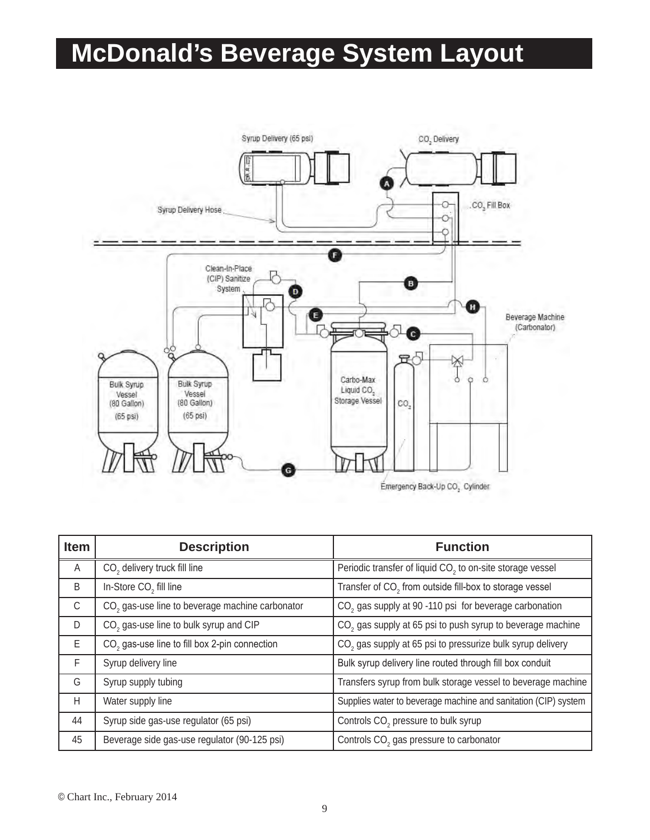# **McDonald's Beverage System Layout**



| <b>Item</b> | <b>Description</b>                                          | <b>Function</b>                                                        |
|-------------|-------------------------------------------------------------|------------------------------------------------------------------------|
| A           | CO <sub>2</sub> delivery truck fill line                    | Periodic transfer of liquid CO <sub>2</sub> to on-site storage vessel  |
| B           | In-Store CO <sub>2</sub> fill line                          | Transfer of CO <sub>2</sub> from outside fill-box to storage vessel    |
| C           | CO <sub>2</sub> gas-use line to beverage machine carbonator | CO <sub>2</sub> gas supply at 90 -110 psi for beverage carbonation     |
| D           | CO <sub>2</sub> gas-use line to bulk syrup and CIP          | CO <sub>2</sub> gas supply at 65 psi to push syrup to beverage machine |
| E.          | CO <sub>2</sub> gas-use line to fill box 2-pin connection   | CO <sub>2</sub> gas supply at 65 psi to pressurize bulk syrup delivery |
| F           | Syrup delivery line                                         | Bulk syrup delivery line routed through fill box conduit               |
| G           | Syrup supply tubing                                         | Transfers syrup from bulk storage vessel to beverage machine           |
| H           | Water supply line                                           | Supplies water to beverage machine and sanitation (CIP) system         |
| 44          | Syrup side gas-use regulator (65 psi)                       | Controls CO <sub>2</sub> pressure to bulk syrup                        |
| 45          | Beverage side gas-use regulator (90-125 psi)                | Controls CO <sub>2</sub> gas pressure to carbonator                    |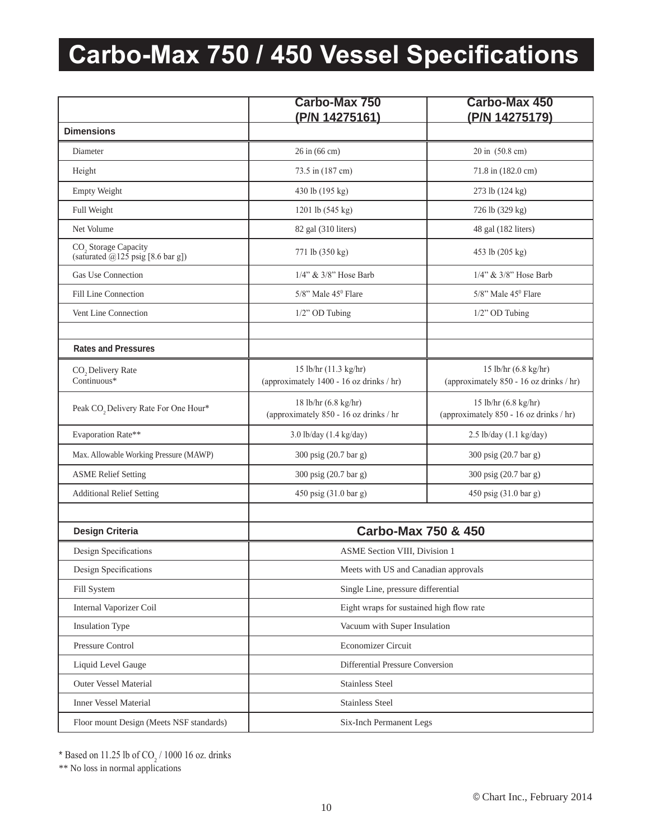# **Carbo-Max 750 / 450 Vessel Specifications**

|                                                                               | <b>Carbo-Max 750</b><br>(P/N 14275161)                            | <b>Carbo-Max 450</b><br>(P/N 14275179)                                      |  |  |
|-------------------------------------------------------------------------------|-------------------------------------------------------------------|-----------------------------------------------------------------------------|--|--|
| <b>Dimensions</b>                                                             |                                                                   |                                                                             |  |  |
| Diameter                                                                      | 26 in (66 cm)                                                     | 20 in (50.8 cm)                                                             |  |  |
| Height                                                                        | 73.5 in (187 cm)                                                  | 71.8 in (182.0 cm)                                                          |  |  |
| <b>Empty Weight</b>                                                           | 430 lb (195 kg)                                                   | 273 lb (124 kg)                                                             |  |  |
| Full Weight                                                                   | 1201 lb (545 kg)                                                  | 726 lb (329 kg)                                                             |  |  |
| Net Volume                                                                    | 82 gal (310 liters)                                               | 48 gal (182 liters)                                                         |  |  |
| CO <sub>2</sub> Storage Capacity<br>(saturated $\omega$ 125 psig [8.6 bar g]) | 771 lb (350 kg)                                                   | 453 lb (205 kg)                                                             |  |  |
| Gas Use Connection                                                            | 1/4" & 3/8" Hose Barb                                             | $1/4$ " & $3/8$ " Hose Barb                                                 |  |  |
| Fill Line Connection                                                          | 5/8" Male 45 <sup>0</sup> Flare                                   | 5/8" Male 45 <sup>0</sup> Flare                                             |  |  |
| Vent Line Connection                                                          | 1/2" OD Tubing                                                    | 1/2" OD Tubing                                                              |  |  |
|                                                                               |                                                                   |                                                                             |  |  |
| <b>Rates and Pressures</b>                                                    |                                                                   |                                                                             |  |  |
| CO <sub>2</sub> Delivery Rate<br>$Continuous*$                                | 15 lb/hr (11.3 kg/hr)<br>(approximately 1400 - 16 oz drinks / hr) | 15 lb/hr (6.8 kg/hr)<br>(approximately 850 - 16 oz drinks / hr)             |  |  |
| Peak CO <sub>2</sub> Delivery Rate For One Hour*                              | 18 lb/hr (6.8 kg/hr)<br>(approximately 850 - 16 oz drinks / hr    | $15$ lb/hr $(6.8 \text{ kg/hr})$<br>(approximately 850 - 16 oz drinks / hr) |  |  |
| Evaporation Rate**                                                            | 3.0 lb/day (1.4 kg/day)                                           | 2.5 lb/day (1.1 kg/day)                                                     |  |  |
| Max. Allowable Working Pressure (MAWP)                                        | 300 psig (20.7 bar g)                                             | 300 psig (20.7 bar g)                                                       |  |  |
| <b>ASME Relief Setting</b>                                                    | 300 psig (20.7 bar g)                                             | 300 psig (20.7 bar g)                                                       |  |  |
| <b>Additional Relief Setting</b>                                              | 450 psig (31.0 bar g)                                             | 450 psig (31.0 bar g)                                                       |  |  |
|                                                                               |                                                                   |                                                                             |  |  |
| <b>Design Criteria</b>                                                        | <b>Carbo-Max 750 &amp; 450</b>                                    |                                                                             |  |  |
| Design Specifications                                                         | ASME Section VIII, Division 1                                     |                                                                             |  |  |
| Design Specifications                                                         | Meets with US and Canadian approvals                              |                                                                             |  |  |
| Fill System                                                                   | Single Line, pressure differential                                |                                                                             |  |  |
| Internal Vaporizer Coil                                                       | Eight wraps for sustained high flow rate                          |                                                                             |  |  |
| Insulation Type                                                               | Vacuum with Super Insulation                                      |                                                                             |  |  |
| Pressure Control                                                              | Economizer Circuit                                                |                                                                             |  |  |
| Liquid Level Gauge                                                            | Differential Pressure Conversion                                  |                                                                             |  |  |
| <b>Outer Vessel Material</b>                                                  | <b>Stainless Steel</b>                                            |                                                                             |  |  |
| <b>Inner Vessel Material</b>                                                  | <b>Stainless Steel</b>                                            |                                                                             |  |  |
| Floor mount Design (Meets NSF standards)                                      | Six-Inch Permanent Legs                                           |                                                                             |  |  |

\* Based on 11.25 lb of  $CO_2/1000$  16 oz. drinks

\*\* No loss in normal applications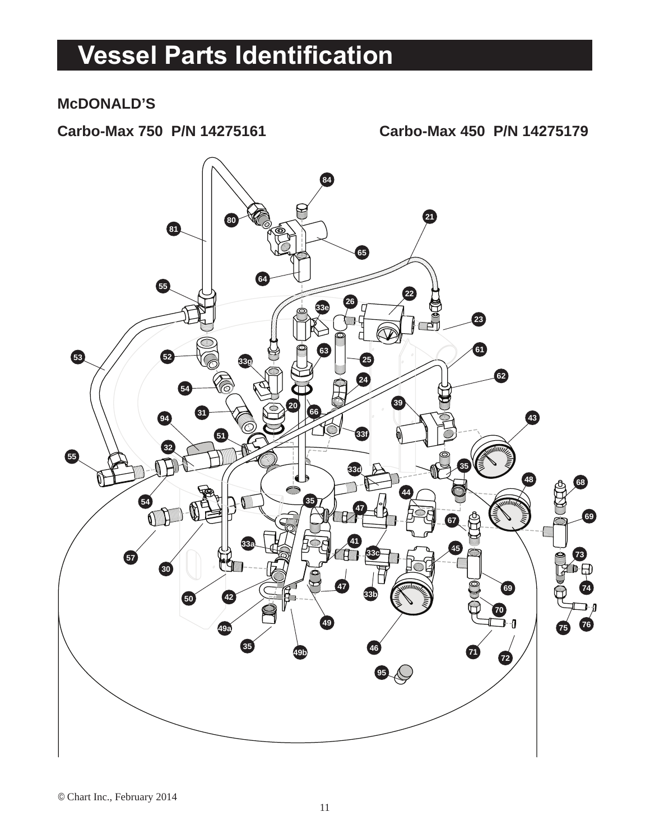# **Vessel Parts Identification**

#### **McDONALD'S**

**Carbo-Max 750 P/N 14275161 Carbo-Max 450 P/N 14275179**

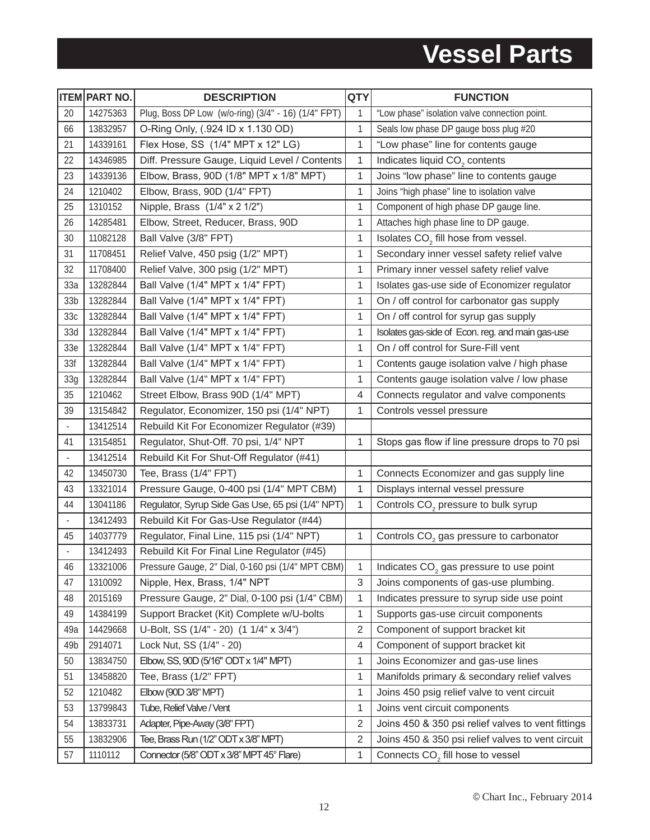# **Vessel Parts**

|                          | <b>ITEM PART NO.</b> | <b>DESCRIPTION</b>                                  | <b>QTY</b>   | <b>FUNCTION</b>                                     |
|--------------------------|----------------------|-----------------------------------------------------|--------------|-----------------------------------------------------|
| 20                       | 14275363             | Plug, Boss DP Low (w/o-ring) (3/4" - 16) (1/4" FPT) | 1            | "Low phase" isolation valve connection point.       |
| 66                       | 13832957             | O-Ring Only, (.924 ID x 1.130 OD)                   | $\mathbf{1}$ | Seals low phase DP gauge boss plug #20              |
| 21                       | 14339161             | Flex Hose, SS (1/4" MPT x 12" LG)                   | 1            | "Low phase" line for contents gauge                 |
| 22                       | 14346985             | Diff. Pressure Gauge, Liquid Level / Contents       | 1            | Indicates liquid CO <sub>2</sub> contents           |
| 23                       | 14339136             | Elbow, Brass, 90D (1/8" MPT x 1/8" MPT)             | $\mathbf{1}$ | Joins "low phase" line to contents gauge            |
| 24                       | 1210402              | Elbow, Brass, 90D (1/4" FPT)                        | 1            | Joins "high phase" line to isolation valve          |
| 25                       | 1310152              | Nipple, Brass (1/4" x 2 1/2")                       | 1            | Component of high phase DP gauge line.              |
| 26                       | 14285481             | Elbow, Street, Reducer, Brass, 90D                  | 1            | Attaches high phase line to DP gauge.               |
| 30                       | 11082128             | Ball Valve (3/8" FPT)                               | 1            | Isolates CO <sub>2</sub> fill hose from vessel.     |
| 31                       | 11708451             | Relief Valve, 450 psig (1/2" MPT)                   | 1            | Secondary inner vessel safety relief valve          |
| 32                       | 11708400             | Relief Valve, 300 psig (1/2" MPT)                   | 1            | Primary inner vessel safety relief valve            |
| 33a                      | 13282844             | Ball Valve (1/4" MPT x 1/4" FPT)                    | 1            | Isolates gas-use side of Economizer regulator       |
| 33 <sub>b</sub>          | 13282844             | Ball Valve (1/4" MPT x 1/4" FPT)                    | 1            | On / off control for carbonator gas supply          |
| 33 <sub>c</sub>          | 13282844             | Ball Valve (1/4" MPT x 1/4" FPT)                    | 1            | On / off control for syrup gas supply               |
| 33d                      | 13282844             | Ball Valve (1/4" MPT x 1/4" FPT)                    | 1            | Isolates gas-side of Econ. reg. and main gas-use    |
| 33e                      | 13282844             | Ball Valve (1/4" MPT x 1/4" FPT)                    | 1            | On / off control for Sure-Fill vent                 |
| 33f                      | 13282844             | Ball Valve (1/4" MPT x 1/4" FPT)                    | 1            | Contents gauge isolation valve / high phase         |
| 33g                      | 13282844             | Ball Valve (1/4" MPT x 1/4" FPT)                    | 1            | Contents gauge isolation valve / low phase          |
| 35                       | 1210462              | Street Elbow, Brass 90D (1/4" MPT)                  | 4            | Connects regulator and valve components             |
| 39                       | 13154842             | Regulator, Economizer, 150 psi (1/4" NPT)           | 1            | Controls vessel pressure                            |
| $\blacksquare$           | 13412514             | Rebuild Kit For Economizer Regulator (#39)          |              |                                                     |
| 41                       | 13154851             | Regulator, Shut-Off. 70 psi, 1/4" NPT               | 1            | Stops gas flow if line pressure drops to 70 psi     |
| $\overline{\phantom{a}}$ | 13412514             | Rebuild Kit For Shut-Off Regulator (#41)            |              |                                                     |
| 42                       | 13450730             | Tee, Brass (1/4" FPT)                               | 1            | Connects Economizer and gas supply line             |
| 43                       | 13321014             | Pressure Gauge, 0-400 psi (1/4" MPT CBM)            | 1            | Displays internal vessel pressure                   |
| 44                       | 13041186             | Regulator, Syrup Side Gas Use, 65 psi (1/4" NPT)    | $\mathbf{1}$ | Controls CO <sub>2</sub> pressure to bulk syrup     |
|                          | 13412493             | Rebuild Kit For Gas-Use Regulator (#44)             |              |                                                     |
| 45                       | 14037779             | Regulator, Final Line, 115 psi (1/4" NPT)           | 1            | Controls CO <sub>2</sub> gas pressure to carbonator |
| $\blacksquare$           | 13412493             | Rebuild Kit For Final Line Regulator (#45)          |              |                                                     |
| 46                       | 13321006             | Pressure Gauge, 2" Dial, 0-160 psi (1/4" MPT CBM)   | 1            | Indicates CO <sub>2</sub> gas pressure to use point |
| 47                       | 1310092              | Nipple, Hex, Brass, 1/4" NPT                        | 3            | Joins components of gas-use plumbing.               |
| 48                       | 2015169              | Pressure Gauge, 2" Dial, 0-100 psi (1/4" CBM)       | 1            | Indicates pressure to syrup side use point          |
| 49                       | 14384199             | Support Bracket (Kit) Complete w/U-bolts            | 1            | Supports gas-use circuit components                 |
| 49a                      | 14429668             | U-Bolt, SS (1/4" - 20) (1 1/4" x 3/4")              | $\sqrt{2}$   | Component of support bracket kit                    |
| 49b                      | 2914071              | Lock Nut, SS (1/4" - 20)                            | 4            | Component of support bracket kit                    |
| 50                       | 13834750             | Elbow, SS, 90D (5/16" ODT x 1/4" MPT)               | 1            | Joins Economizer and gas-use lines                  |
| 51                       | 13458820             | Tee, Brass (1/2" FPT)                               | 1            | Manifolds primary & secondary relief valves         |
| 52                       | 1210482              | Elbow (90D 3/8" MPT)                                | 1            | Joins 450 psig relief valve to vent circuit         |
| 53                       | 13799843             | Tube, Relief Valve / Vent                           | $\mathbf{1}$ | Joins vent circuit components                       |
| 54                       | 13833731             | Adapter, Pipe-Away (3/8" FPT)                       | $\sqrt{2}$   | Joins 450 & 350 psi relief valves to vent fittings  |
| 55                       | 13832906             | Tee, Brass Run (1/2" ODT x 3/8" MPT)                | $\sqrt{2}$   | Joins 450 & 350 psi relief valves to vent circuit   |
| 57                       | 1110112              | Connector (5/8" ODT x 3/8" MPT 45° Flare)           | 1            | Connects CO <sub>2</sub> fill hose to vessel        |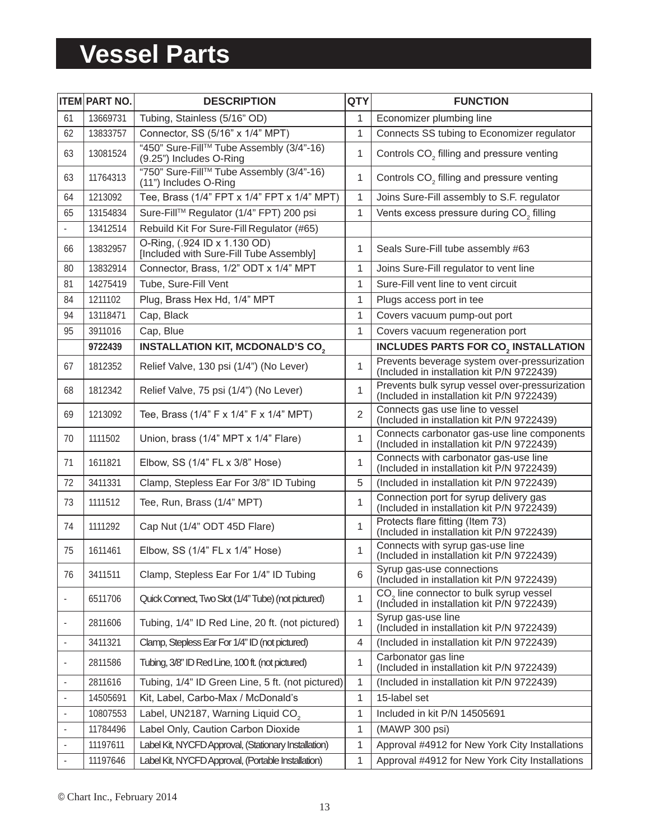# **Vessel Parts**

|                          | <b>ITEM PART NO.</b> | <b>DESCRIPTION</b>                                                      | <b>QTY</b>   | <b>FUNCTION</b>                                                                                   |
|--------------------------|----------------------|-------------------------------------------------------------------------|--------------|---------------------------------------------------------------------------------------------------|
| 61                       | 13669731             | Tubing, Stainless (5/16" OD)                                            | $\mathbf{1}$ | Economizer plumbing line                                                                          |
| 62                       | 13833757             | Connector, SS (5/16" x 1/4" MPT)                                        | 1            | Connects SS tubing to Economizer regulator                                                        |
| 63                       | 13081524             | "450" Sure-Fill™ Tube Assembly (3/4"-16)<br>(9.25") Includes O-Ring     | 1            | Controls CO <sub>2</sub> filling and pressure venting                                             |
| 63                       | 11764313             | "750" Sure-Fill™ Tube Assembly (3/4"-16)<br>(11") Includes O-Ring       | 1            | Controls CO <sub>2</sub> filling and pressure venting                                             |
| 64                       | 1213092              | Tee, Brass (1/4" FPT x 1/4" FPT x 1/4" MPT)                             | 1            | Joins Sure-Fill assembly to S.F. regulator                                                        |
| 65                       | 13154834             | Sure-Fill™ Regulator (1/4" FPT) 200 psi                                 | $\mathbf{1}$ | Vents excess pressure during CO <sub>2</sub> filling                                              |
|                          | 13412514             | Rebuild Kit For Sure-Fill Regulator (#65)                               |              |                                                                                                   |
| 66                       | 13832957             | O-Ring, (.924 ID x 1.130 OD)<br>[Included with Sure-Fill Tube Assembly] | 1            | Seals Sure-Fill tube assembly #63                                                                 |
| 80                       | 13832914             | Connector, Brass, 1/2" ODT x 1/4" MPT                                   | 1            | Joins Sure-Fill regulator to vent line                                                            |
| 81                       | 14275419             | Tube, Sure-Fill Vent                                                    | 1            | Sure-Fill vent line to vent circuit                                                               |
| 84                       | 1211102              | Plug, Brass Hex Hd, 1/4" MPT                                            | 1            | Plugs access port in tee                                                                          |
| 94                       | 13118471             | Cap, Black                                                              | 1            | Covers vacuum pump-out port                                                                       |
| 95                       | 3911016              | Cap, Blue                                                               | 1            | Covers vacuum regeneration port                                                                   |
|                          | 9722439              | <b>INSTALLATION KIT, MCDONALD'S CO.</b>                                 |              | <b>INCLUDES PARTS FOR CO, INSTALLATION</b>                                                        |
| 67                       | 1812352              | Relief Valve, 130 psi (1/4") (No Lever)                                 | 1            | Prevents beverage system over-pressurization<br>(Included in installation kit P/N 9722439)        |
| 68                       | 1812342              | Relief Valve, 75 psi (1/4") (No Lever)                                  | 1            | Prevents bulk syrup vessel over-pressurization<br>(Included in installation kit P/N 9722439)      |
| 69                       | 1213092              | Tee, Brass (1/4" F x 1/4" F x 1/4" MPT)                                 | 2            | Connects gas use line to vessel<br>(Included in installation kit P/N 9722439)                     |
| 70                       | 1111502              | Union, brass (1/4" MPT x 1/4" Flare)                                    | $\mathbf{1}$ | Connects carbonator gas-use line components<br>(Included in installation kit P/N 9722439)         |
| 71                       | 1611821              | Elbow, SS (1/4" FL x 3/8" Hose)                                         | 1            | Connects with carbonator gas-use line<br>(Included in installation kit P/N 9722439)               |
| 72                       | 3411331              | Clamp, Stepless Ear For 3/8" ID Tubing                                  | 5            | (Included in installation kit P/N 9722439)                                                        |
| 73                       | 1111512              | Tee, Run, Brass (1/4" MPT)                                              | $\mathbf{1}$ | Connection port for syrup delivery gas<br>(Included in installation kit P/N 9722439)              |
| 74                       | 1111292              | Cap Nut (1/4" ODT 45D Flare)                                            | $\mathbf{1}$ | Protects flare fitting (Item 73)<br>(Included in installation kit P/N 9722439)                    |
| 75                       | 1611461              | Elbow, SS (1/4" FL x 1/4" Hose)                                         | 1            | Connects with syrup gas-use line<br>(Included in installation kit P/N 9722439)                    |
| 76                       | 3411511              | Clamp, Stepless Ear For 1/4" ID Tubing                                  | 6            | Syrup gas-use connections<br>(Included in installation kit P/N 9722439)                           |
| $\overline{\phantom{a}}$ | 6511706              | Quick Connect, Two Slot (1/4" Tube) (not pictured)                      | 1            | CO <sub>2</sub> line connector to bulk syrup vessel<br>(Included in installation kit P/N 9722439) |
| $\overline{\phantom{a}}$ | 2811606              | Tubing, 1/4" ID Red Line, 20 ft. (not pictured)                         | 1            | Syrup gas-use line<br>(Included in installation kit P/N 9722439)                                  |
| $\overline{\phantom{a}}$ | 3411321              | Clamp, Stepless Ear For 1/4" ID (not pictured)                          | 4            | (Included in installation kit P/N 9722439)                                                        |
| $\overline{\phantom{a}}$ | 2811586              | Tubing, 3/8" ID Red Line, 100 ft. (not pictured)                        | 1            | Carbonator gas line<br>(Included in installation kit P/N 9722439)                                 |
| $\overline{\phantom{a}}$ | 2811616              | Tubing, 1/4" ID Green Line, 5 ft. (not pictured)                        | 1            | (Included in installation kit P/N 9722439)                                                        |
| $\overline{\phantom{a}}$ | 14505691             | Kit, Label, Carbo-Max / McDonald's                                      | $\mathbf{1}$ | 15-label set                                                                                      |
| $\overline{\phantom{a}}$ | 10807553             | Label, UN2187, Warning Liquid CO <sub>2</sub>                           | 1            | Included in kit P/N 14505691                                                                      |
| $\overline{\phantom{a}}$ | 11784496             | Label Only, Caution Carbon Dioxide                                      | 1            | (MAWP 300 psi)                                                                                    |
| $\overline{\phantom{a}}$ | 11197611             | Label Kit, NYCFD Approval, (Stationary Installation)                    | 1            | Approval #4912 for New York City Installations                                                    |
|                          | 11197646             | Label Kit, NYCFD Approval, (Portable Installation)                      | 1            | Approval #4912 for New York City Installations                                                    |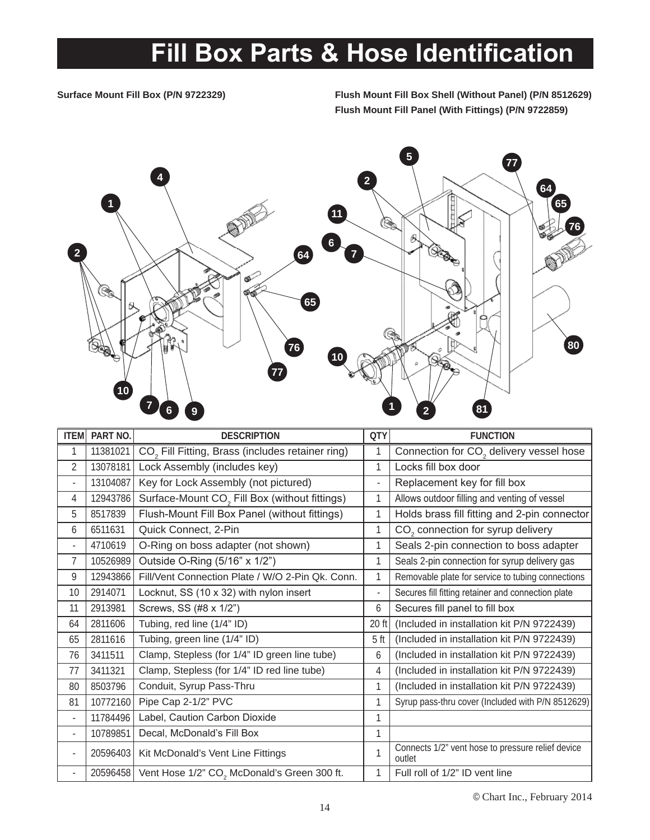# **Fill Box Parts & Hose Identification**

**Surface Mount Fill Box (P/N 9722329) Flush Mount Fill Box Shell (Without Panel) (P/N 8512629) Flush Mount Fill Panel (With Fittings) (P/N 9722859)**



| <b>ITEM</b>    | PART NO. | <b>DESCRIPTION</b>                                           | QTY             | <b>FUNCTION</b>                                             |
|----------------|----------|--------------------------------------------------------------|-----------------|-------------------------------------------------------------|
| 1              | 11381021 | CO <sub>2</sub> Fill Fitting, Brass (includes retainer ring) |                 | Connection for CO <sub>2</sub> delivery vessel hose         |
| 2              | 13078181 | Lock Assembly (includes key)                                 | 1               | Locks fill box door                                         |
| $\blacksquare$ | 13104087 | Key for Lock Assembly (not pictured)                         |                 | Replacement key for fill box                                |
| 4              | 12943786 | Surface-Mount CO <sub>2</sub> Fill Box (without fittings)    | 1               | Allows outdoor filling and venting of vessel                |
| 5              | 8517839  | Flush-Mount Fill Box Panel (without fittings)                | 1               | Holds brass fill fitting and 2-pin connector                |
| 6              | 6511631  | Quick Connect, 2-Pin                                         |                 | CO <sub>2</sub> connection for syrup delivery               |
| $\blacksquare$ | 4710619  | O-Ring on boss adapter (not shown)                           | 1               | Seals 2-pin connection to boss adapter                      |
| $\overline{7}$ | 10526989 | Outside O-Ring (5/16" x 1/2")                                | 1               | Seals 2-pin connection for syrup delivery gas               |
| 9              | 12943866 | Fill/Vent Connection Plate / W/O 2-Pin Qk. Conn.             |                 | Removable plate for service to tubing connections           |
| 10             | 2914071  | Locknut, SS (10 x 32) with nylon insert                      |                 | Secures fill fitting retainer and connection plate          |
| 11             | 2913981  | Screws, SS (#8 x 1/2")                                       | 6               | Secures fill panel to fill box                              |
| 64             | 2811606  | Tubing, red line (1/4" ID)                                   | 20 ft           | (Included in installation kit P/N 9722439)                  |
| 65             | 2811616  | Tubing, green line (1/4" ID)                                 | 5 <sub>ft</sub> | (Included in installation kit P/N 9722439)                  |
| 76             | 3411511  | Clamp, Stepless (for 1/4" ID green line tube)                | 6               | (Included in installation kit P/N 9722439)                  |
| 77             | 3411321  | Clamp, Stepless (for 1/4" ID red line tube)                  | 4               | (Included in installation kit P/N 9722439)                  |
| 80             | 8503796  | Conduit, Syrup Pass-Thru                                     | 1               | (Included in installation kit P/N 9722439)                  |
| 81             | 10772160 | Pipe Cap 2-1/2" PVC                                          |                 | Syrup pass-thru cover (Included with P/N 8512629)           |
| $\blacksquare$ | 11784496 | Label, Caution Carbon Dioxide                                |                 |                                                             |
| $\blacksquare$ | 10789851 | Decal, McDonald's Fill Box                                   | 1               |                                                             |
| ä,             | 20596403 | Kit McDonald's Vent Line Fittings                            | 1               | Connects 1/2" vent hose to pressure relief device<br>outlet |
|                | 20596458 | Vent Hose 1/2" CO <sub>2</sub> McDonald's Green 300 ft.      |                 | Full roll of 1/2" ID vent line                              |

© Chart Inc., February 2014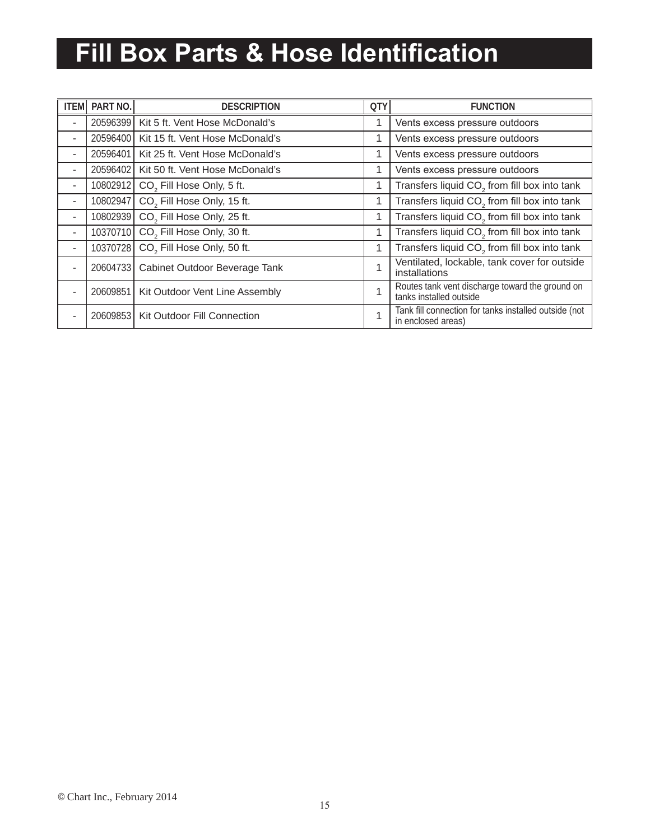# **Fill Box Parts & Hose Identification**

| <b>ITEM</b>           | PART NO.  | <b>DESCRIPTION</b>                     | QTY | <b>FUNCTION</b>                                                             |
|-----------------------|-----------|----------------------------------------|-----|-----------------------------------------------------------------------------|
| ÷,                    | 20596399  | Kit 5 ft. Vent Hose McDonald's         |     | Vents excess pressure outdoors                                              |
| $\blacksquare$        | 20596400  | Kit 15 ft. Vent Hose McDonald's        |     | Vents excess pressure outdoors                                              |
| $\blacksquare$        | 20596401  | Kit 25 ft. Vent Hose McDonald's        |     | Vents excess pressure outdoors                                              |
| $\blacksquare$        | 20596402  | Kit 50 ft. Vent Hose McDonald's        |     | Vents excess pressure outdoors                                              |
| $\blacksquare$        | 10802912  | CO <sub>2</sub> Fill Hose Only, 5 ft.  |     | Transfers liquid CO <sub>2</sub> from fill box into tank                    |
| $\blacksquare$        | 10802947  | CO <sub>2</sub> Fill Hose Only, 15 ft. |     | Transfers liquid CO <sub>2</sub> from fill box into tank                    |
| $\blacksquare$        | 10802939  | CO <sub>2</sub> Fill Hose Only, 25 ft. |     | Transfers liquid CO <sub>2</sub> from fill box into tank                    |
| ٠                     | 10370710  | CO <sub>2</sub> Fill Hose Only, 30 ft. |     | Transfers liquid CO <sub>2</sub> from fill box into tank                    |
| $\blacksquare$        | 10370728  | CO <sub>2</sub> Fill Hose Only, 50 ft. |     | Transfers liquid CO <sub>2</sub> from fill box into tank                    |
| $\tilde{\phantom{a}}$ | 206047331 | Cabinet Outdoor Beverage Tank          |     | Ventilated, lockable, tank cover for outside<br>installations               |
|                       | 20609851  | Kit Outdoor Vent Line Assembly         |     | Routes tank vent discharge toward the ground on<br>tanks installed outside  |
| ٠                     | 20609853  | <b>Kit Outdoor Fill Connection</b>     |     | Tank fill connection for tanks installed outside (not<br>in enclosed areas) |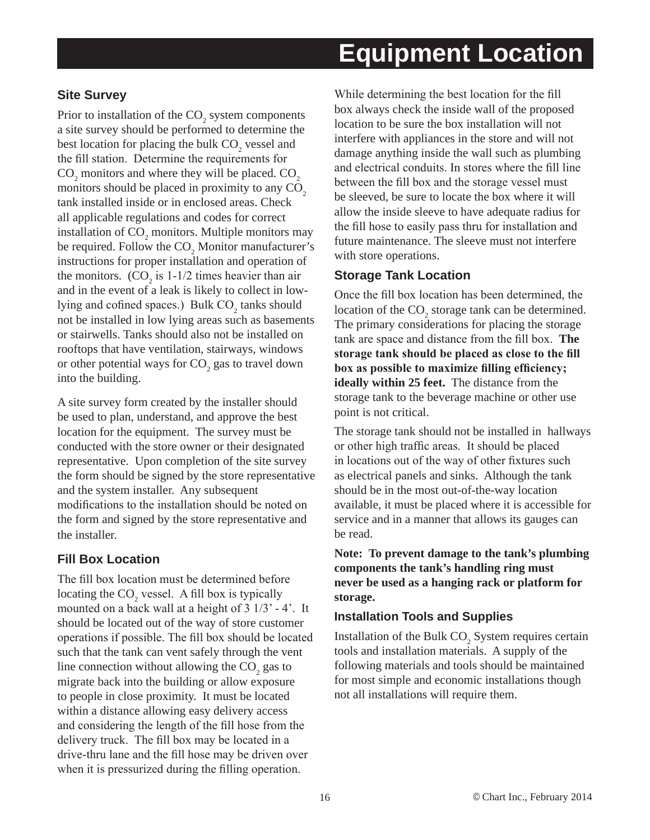#### **Site Survey**

Prior to installation of the  $CO_2$  system components a site survey should be performed to determine the best location for placing the bulk  $CO<sub>2</sub>$  vessel and the fill station. Determine the requirements for  $CO<sub>2</sub>$  monitors and where they will be placed.  $CO<sub>2</sub>$ monitors should be placed in proximity to any  $CO<sub>2</sub>$ tank installed inside or in enclosed areas. Check all applicable regulations and codes for correct installation of  $\mathrm{CO}_2$  monitors. Multiple monitors may be required. Follow the  $CO<sub>2</sub>$  Monitor manufacturer's instructions for proper installation and operation of the monitors.  $(CO_2$  is 1-1/2 times heavier than air and in the event of a leak is likely to collect in lowlying and cofined spaces.) Bulk  $CO_2$  tanks should not be installed in low lying areas such as basements or stairwells. Tanks should also not be installed on rooftops that have ventilation, stairways, windows or other potential ways for  $\mathrm{CO}_2$  gas to travel down into the building.

A site survey form created by the installer should be used to plan, understand, and approve the best location for the equipment. The survey must be conducted with the store owner or their designated representative. Upon completion of the site survey the form should be signed by the store representative and the system installer. Any subsequent modifications to the installation should be noted on the form and signed by the store representative and the installer.

#### **Fill Box Location**

The fill box location must be determined before locating the  $CO_2$  vessel. A fill box is typically mounted on a back wall at a height of 3 1/3' - 4'. It should be located out of the way of store customer operations if possible. The fill box should be located such that the tank can vent safely through the vent line connection without allowing the  $CO_2$  gas to migrate back into the building or allow exposure to people in close proximity. It must be located within a distance allowing easy delivery access and considering the length of the fill hose from the delivery truck. The fill box may be located in a drive-thru lane and the fill hose may be driven over when it is pressurized during the filling operation.

# **Equipment Location**

While determining the best location for the fill box always check the inside wall of the proposed location to be sure the box installation will not interfere with appliances in the store and will not damage anything inside the wall such as plumbing and electrical conduits. In stores where the fill line between the fill box and the storage vessel must be sleeved, be sure to locate the box where it will allow the inside sleeve to have adequate radius for the fill hose to easily pass thru for installation and future maintenance. The sleeve must not interfere with store operations.

#### **Storage Tank Location**

Once the fill box location has been determined, the location of the  $CO_2$  storage tank can be determined. The primary considerations for placing the storage tank are space and distance from the fill box. **The storage tank should be placed as close to the fill box as possible to maximize filling efficiency; ideally within 25 feet.** The distance from the storage tank to the beverage machine or other use point is not critical.

The storage tank should not be installed in hallways or other high traffic areas. It should be placed in locations out of the way of other fixtures such as electrical panels and sinks. Although the tank should be in the most out-of-the-way location available, it must be placed where it is accessible for service and in a manner that allows its gauges can be read.

#### **Note: To prevent damage to the tank's plumbing components the tank's handling ring must never be used as a hanging rack or platform for storage.**

#### **Installation Tools and Supplies**

Installation of the Bulk  $\text{CO}_2$  System requires certain tools and installation materials. A supply of the following materials and tools should be maintained for most simple and economic installations though not all installations will require them.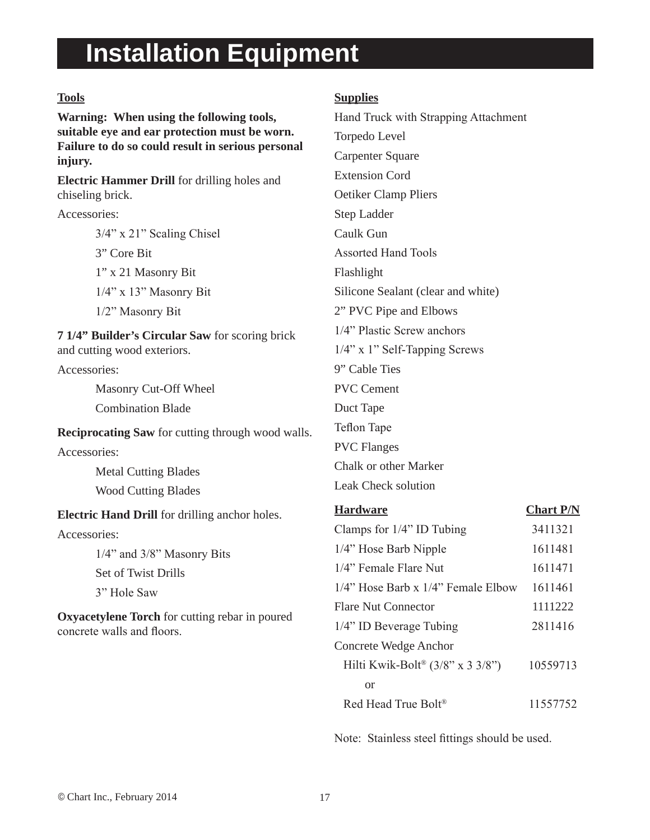# **Installation Equipment**

#### **Tools**

**Warning: When using the following tools, suitable eye and ear protection must be worn. Failure to do so could result in serious personal injury.**

**Electric Hammer Drill** for drilling holes and chiseling brick.

#### Accessories:

3/4" x 21" Scaling Chisel 3" Core Bit 1" x 21 Masonry Bit 1/4" x 13" Masonry Bit 1/2" Masonry Bit

**7 1/4" Builder's Circular Saw** for scoring brick and cutting wood exteriors.

#### Accessories:

Masonry Cut-Off Wheel

Combination Blade

**Reciprocating Saw** for cutting through wood walls.

Accessories:

Metal Cutting Blades Wood Cutting Blades

**Electric Hand Drill** for drilling anchor holes.

#### Accessories:

1/4" and 3/8" Masonry Bits Set of Twist Drills 3" Hole Saw

**Oxyacetylene Torch** for cutting rebar in poured concrete walls and floors.

#### **Supplies**

Hand Truck with Strapping Attachment Torpedo Level Carpenter Square Extension Cord Oetiker Clamp Pliers Step Ladder Caulk Gun Assorted Hand Tools Flashlight Silicone Sealant (clear and white) 2" PVC Pipe and Elbows 1/4" Plastic Screw anchors 1/4" x 1" Self-Tapping Screws 9" Cable Ties PVC Cement Duct Tape Teflon Tape PVC Flanges Chalk or other Marker Leak Check solution

| <b>Hardware</b>                                             | <b>Chart P/N</b> |
|-------------------------------------------------------------|------------------|
| Clamps for $1/4$ " ID Tubing                                | 3411321          |
| 1/4" Hose Barb Nipple                                       | 1611481          |
| 1/4" Female Flare Nut                                       | 1611471          |
| $1/4$ " Hose Barb x $1/4$ " Female Elbow                    | 1611461          |
| <b>Flare Nut Connector</b>                                  | 1111222          |
| $1/4$ " ID Beverage Tubing                                  | 2811416          |
| Concrete Wedge Anchor                                       |                  |
| Hilti Kwik-Bolt <sup>®</sup> $(3/8" \times 3 \frac{3}{8")}$ | 10559713         |
| or                                                          |                  |
| Red Head True Bolt <sup>®</sup>                             | 11557752         |

Note: Stainless steel fittings should be used.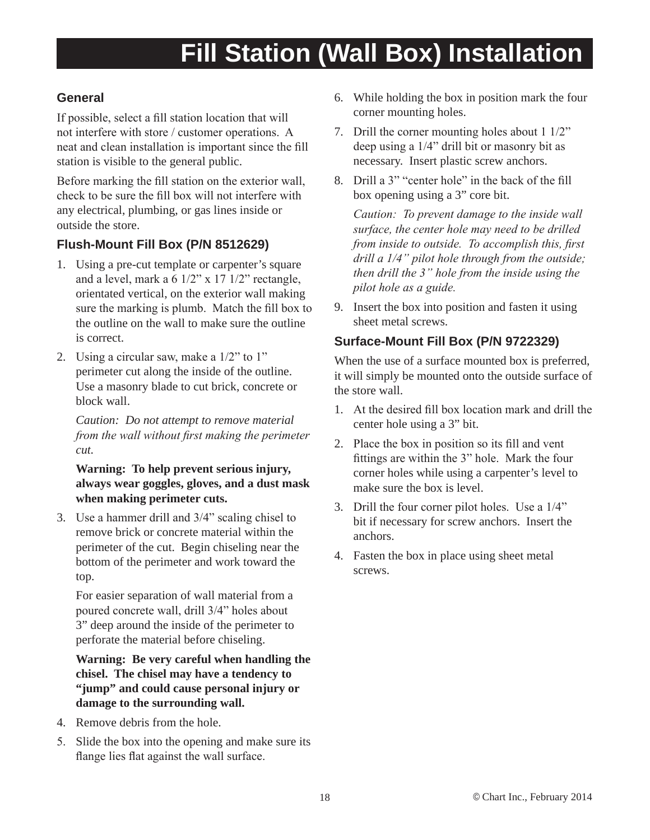# **Fill Station (Wall Box) Installation**

#### **General**

If possible, select a fill station location that will not interfere with store / customer operations. A neat and clean installation is important since the fill station is visible to the general public.

Before marking the fill station on the exterior wall, check to be sure the fill box will not interfere with any electrical, plumbing, or gas lines inside or outside the store.

#### **Flush-Mount Fill Box (P/N 8512629)**

- 1. Using a pre-cut template or carpenter's square and a level, mark a 6 1/2" x 17 1/2" rectangle, orientated vertical, on the exterior wall making sure the marking is plumb. Match the fill box to the outline on the wall to make sure the outline is correct.
- 2. Using a circular saw, make a 1/2" to 1" perimeter cut along the inside of the outline. Use a masonry blade to cut brick, concrete or block wall.

*Caution: Do not attempt to remove material from the wall without first making the perimeter cut.*

#### **Warning: To help prevent serious injury, always wear goggles, gloves, and a dust mask when making perimeter cuts.**

3. Use a hammer drill and 3/4" scaling chisel to remove brick or concrete material within the perimeter of the cut. Begin chiseling near the bottom of the perimeter and work toward the top.

For easier separation of wall material from a poured concrete wall, drill 3/4" holes about 3" deep around the inside of the perimeter to perforate the material before chiseling.

#### **Warning: Be very careful when handling the chisel. The chisel may have a tendency to "jump" and could cause personal injury or damage to the surrounding wall.**

- 4. Remove debris from the hole.
- 5. Slide the box into the opening and make sure its flange lies flat against the wall surface.
- 6. While holding the box in position mark the four corner mounting holes.
- 7. Drill the corner mounting holes about 1 1/2" deep using a 1/4" drill bit or masonry bit as necessary. Insert plastic screw anchors.
- 8. Drill a 3" "center hole" in the back of the fill box opening using a 3" core bit.

*Caution: To prevent damage to the inside wall surface, the center hole may need to be drilled from inside to outside. To accomplish this, first drill a 1/4" pilot hole through from the outside; then drill the 3" hole from the inside using the pilot hole as a guide.*

9. Insert the box into position and fasten it using sheet metal screws.

#### **Surface-Mount Fill Box (P/N 9722329)**

When the use of a surface mounted box is preferred, it will simply be mounted onto the outside surface of the store wall.

- 1. At the desired fill box location mark and drill the center hole using a 3" bit.
- 2. Place the box in position so its fill and vent fittings are within the 3" hole. Mark the four corner holes while using a carpenter's level to make sure the box is level.
- 3. Drill the four corner pilot holes. Use a 1/4" bit if necessary for screw anchors. Insert the anchors.
- 4. Fasten the box in place using sheet metal screws.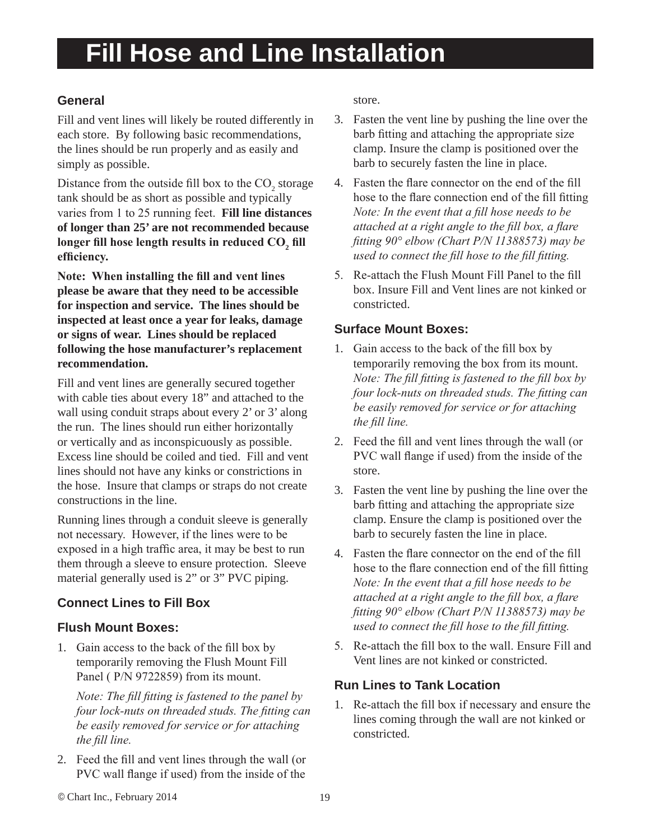# **Fill Hose and Line Installation**

#### **General**

Fill and vent lines will likely be routed differently in each store. By following basic recommendations, the lines should be run properly and as easily and simply as possible.

Distance from the outside fill box to the  $CO_2$  storage tank should be as short as possible and typically varies from 1 to 25 running feet. **Fill line distances of longer than 25' are not recommended because longer fill hose length results in reduced CO<sup>2</sup> fill efficiency.**

**Note: When installing the fill and vent lines please be aware that they need to be accessible for inspection and service. The lines should be inspected at least once a year for leaks, damage or signs of wear. Lines should be replaced following the hose manufacturer's replacement recommendation.**

Fill and vent lines are generally secured together with cable ties about every 18" and attached to the wall using conduit straps about every 2' or 3' along the run. The lines should run either horizontally or vertically and as inconspicuously as possible. Excess line should be coiled and tied. Fill and vent lines should not have any kinks or constrictions in the hose. Insure that clamps or straps do not create constructions in the line.

Running lines through a conduit sleeve is generally not necessary. However, if the lines were to be exposed in a high traffic area, it may be best to run them through a sleeve to ensure protection. Sleeve material generally used is 2" or 3" PVC piping.

#### **Connect Lines to Fill Box**

#### **Flush Mount Boxes:**

1. Gain access to the back of the fill box by temporarily removing the Flush Mount Fill Panel (P/N 9722859) from its mount.

*Note: The fill fitting is fastened to the panel by four lock-nuts on threaded studs. The fitting can be easily removed for service or for attaching the fill line.*

2. Feed the fill and vent lines through the wall (or PVC wall flange if used) from the inside of the

store.

- 3. Fasten the vent line by pushing the line over the barb fitting and attaching the appropriate size clamp. Insure the clamp is positioned over the barb to securely fasten the line in place.
- 4. Fasten the flare connector on the end of the fill hose to the flare connection end of the fill fitting *Note: In the event that a fill hose needs to be attached at a right angle to the fill box, a flare fitting 90° elbow (Chart P/N 11388573) may be used to connect the fill hose to the fill fitting.*
- 5. Re-attach the Flush Mount Fill Panel to the fill box. Insure Fill and Vent lines are not kinked or constricted.

#### **Surface Mount Boxes:**

- 1. Gain access to the back of the fill box by temporarily removing the box from its mount. *Note: The fill fitting is fastened to the fill box by four lock-nuts on threaded studs. The fitting can be easily removed for service or for attaching the fill line.*
- 2. Feed the fill and vent lines through the wall (or PVC wall flange if used) from the inside of the store.
- 3. Fasten the vent line by pushing the line over the barb fitting and attaching the appropriate size clamp. Ensure the clamp is positioned over the barb to securely fasten the line in place.
- 4. Fasten the flare connector on the end of the fill hose to the flare connection end of the fill fitting *Note: In the event that a fill hose needs to be attached at a right angle to the fill box, a flare fitting 90° elbow (Chart P/N 11388573) may be used to connect the fill hose to the fill fitting.*
- 5. Re-attach the fill box to the wall. Ensure Fill and Vent lines are not kinked or constricted.

#### **Run Lines to Tank Location**

1. Re-attach the fill box if necessary and ensure the lines coming through the wall are not kinked or constricted.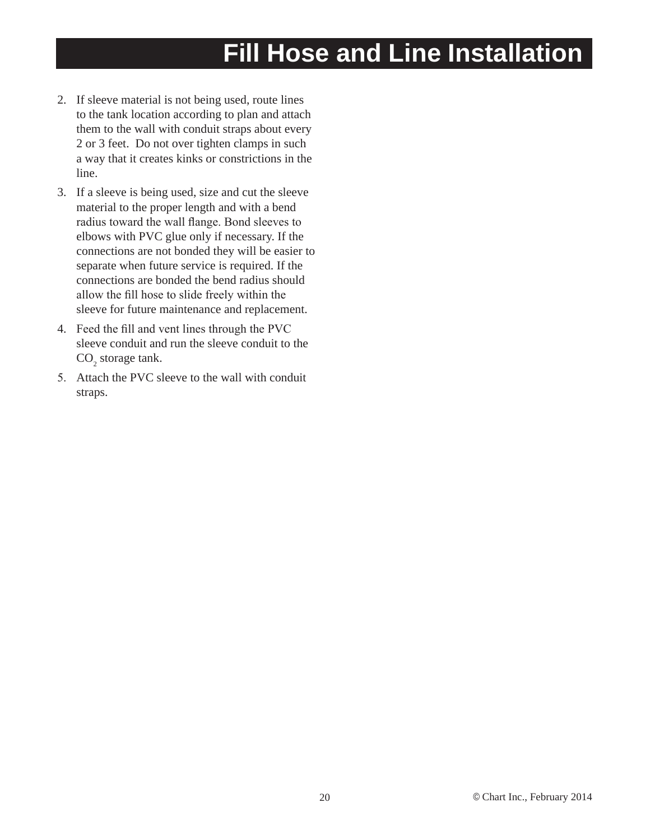# **Fill Hose and Line Installation**

- 2. If sleeve material is not being used, route lines to the tank location according to plan and attach them to the wall with conduit straps about every 2 or 3 feet. Do not over tighten clamps in such a way that it creates kinks or constrictions in the line.
- 3. If a sleeve is being used, size and cut the sleeve material to the proper length and with a bend radius toward the wall flange. Bond sleeves to elbows with PVC glue only if necessary. If the connections are not bonded they will be easier to separate when future service is required. If the connections are bonded the bend radius should allow the fill hose to slide freely within the sleeve for future maintenance and replacement.
- 4. Feed the fill and vent lines through the PVC sleeve conduit and run the sleeve conduit to the  $CO<sub>2</sub>$  storage tank.
- 5. Attach the PVC sleeve to the wall with conduit straps.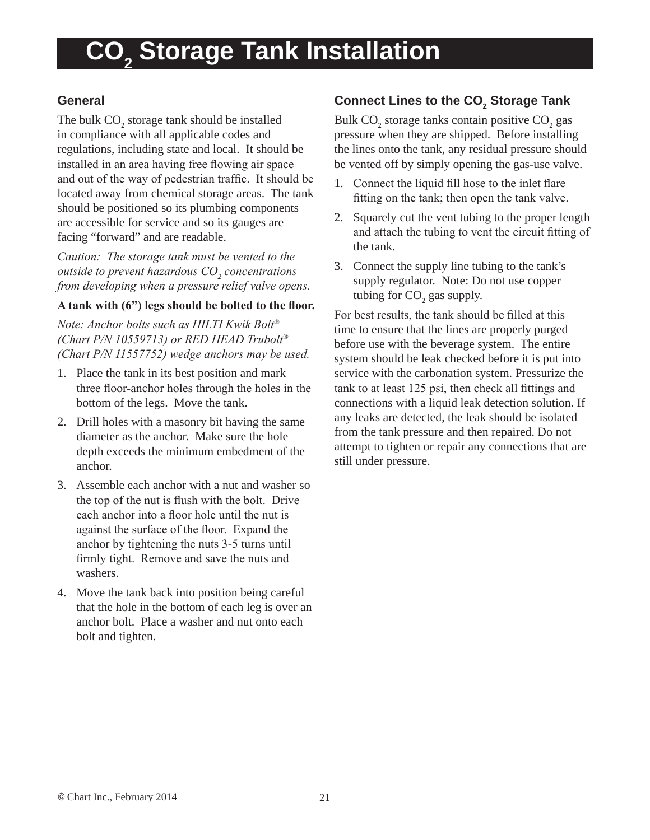# **CO2 Storage Tank Installation**

#### **General**

The bulk  $CO_2$  storage tank should be installed in compliance with all applicable codes and regulations, including state and local. It should be installed in an area having free flowing air space and out of the way of pedestrian traffic. It should be located away from chemical storage areas. The tank should be positioned so its plumbing components are accessible for service and so its gauges are facing "forward" and are readable.

*Caution: The storage tank must be vented to the outside to prevent hazardous CO<sup>2</sup> concentrations from developing when a pressure relief valve opens.*

#### **A tank with (6") legs should be bolted to the floor.**

*Note: Anchor bolts such as HILTI Kwik Bolt® (Chart P/N 10559713) or RED HEAD Trubolt® (Chart P/N 11557752) wedge anchors may be used.*

- 1. Place the tank in its best position and mark three floor-anchor holes through the holes in the bottom of the legs. Move the tank.
- 2. Drill holes with a masonry bit having the same diameter as the anchor. Make sure the hole depth exceeds the minimum embedment of the anchor.
- 3. Assemble each anchor with a nut and washer so the top of the nut is flush with the bolt. Drive each anchor into a floor hole until the nut is against the surface of the floor. Expand the anchor by tightening the nuts 3-5 turns until firmly tight. Remove and save the nuts and washers.
- 4. Move the tank back into position being careful that the hole in the bottom of each leg is over an anchor bolt. Place a washer and nut onto each bolt and tighten.

### **Connect Lines to the CO2 Storage Tank**

Bulk  $\text{CO}_2$  storage tanks contain positive  $\text{CO}_2$  gas pressure when they are shipped. Before installing the lines onto the tank, any residual pressure should be vented off by simply opening the gas-use valve.

- 1. Connect the liquid fill hose to the inlet flare fitting on the tank; then open the tank valve.
- 2. Squarely cut the vent tubing to the proper length and attach the tubing to vent the circuit fitting of the tank.
- 3. Connect the supply line tubing to the tank's supply regulator. Note: Do not use copper tubing for  $CO<sub>2</sub>$  gas supply.

For best results, the tank should be filled at this time to ensure that the lines are properly purged before use with the beverage system. The entire system should be leak checked before it is put into service with the carbonation system. Pressurize the tank to at least 125 psi, then check all fittings and connections with a liquid leak detection solution. If any leaks are detected, the leak should be isolated from the tank pressure and then repaired. Do not attempt to tighten or repair any connections that are still under pressure.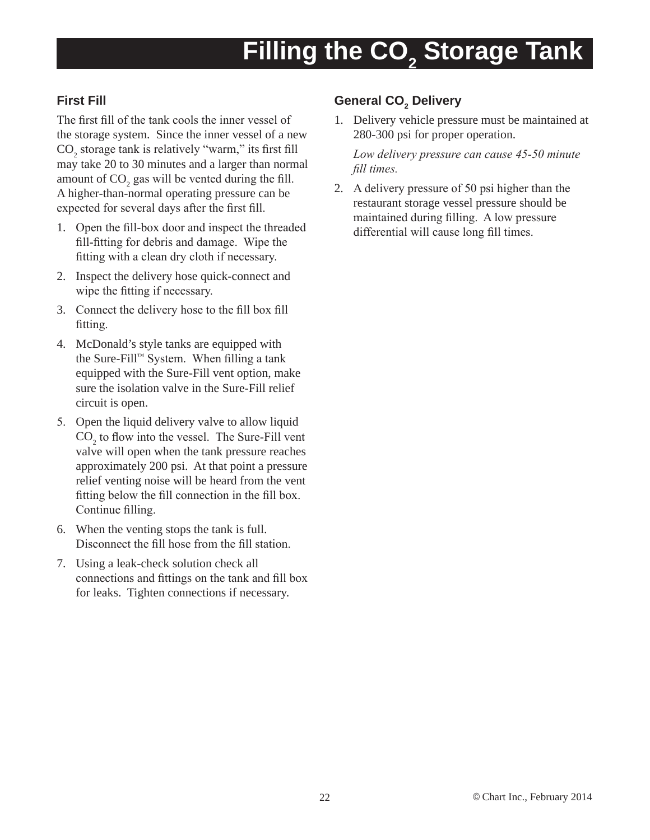# **Filling the CO<sub>2</sub> Storage Tank**

#### **First Fill**

The first fill of the tank cools the inner vessel of the storage system. Since the inner vessel of a new  $CO<sub>2</sub>$  storage tank is relatively "warm," its first fill may take 20 to 30 minutes and a larger than normal amount of  $CO_2$  gas will be vented during the fill. A higher-than-normal operating pressure can be expected for several days after the first fill.

- 1. Open the fill-box door and inspect the threaded fill-fitting for debris and damage. Wipe the fitting with a clean dry cloth if necessary.
- 2. Inspect the delivery hose quick-connect and wipe the fitting if necessary.
- 3. Connect the delivery hose to the fill box fill fitting.
- 4. McDonald's style tanks are equipped with the Sure-Fill™ System. When filling a tank equipped with the Sure-Fill vent option, make sure the isolation valve in the Sure-Fill relief circuit is open.
- 5. Open the liquid delivery valve to allow liquid  $CO<sub>2</sub>$  to flow into the vessel. The Sure-Fill vent valve will open when the tank pressure reaches approximately 200 psi. At that point a pressure relief venting noise will be heard from the vent fitting below the fill connection in the fill box. Continue filling.
- 6. When the venting stops the tank is full. Disconnect the fill hose from the fill station.
- 7. Using a leak-check solution check all connections and fittings on the tank and fill box for leaks. Tighten connections if necessary.

#### **General CO2 Delivery**

1. Delivery vehicle pressure must be maintained at 280-300 psi for proper operation.

*Low delivery pressure can cause 45-50 minute fill times.*

2. A delivery pressure of 50 psi higher than the restaurant storage vessel pressure should be maintained during filling. A low pressure differential will cause long fill times.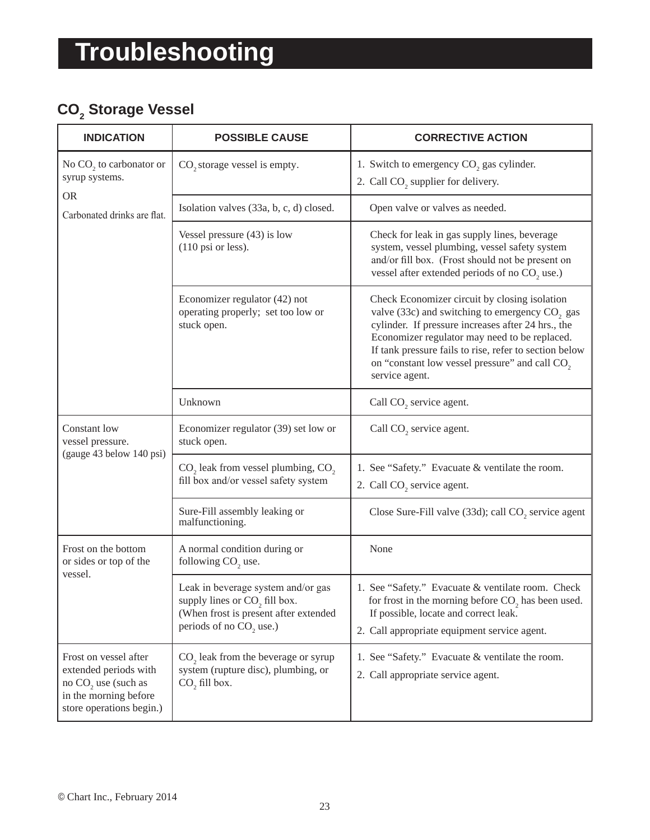## **CO2 Storage Vessel**

| <b>INDICATION</b>                                                                                                            | <b>POSSIBLE CAUSE</b>                                                                                                                                           | <b>CORRECTIVE ACTION</b>                                                                                                                                                                                                                                                                                                                                     |
|------------------------------------------------------------------------------------------------------------------------------|-----------------------------------------------------------------------------------------------------------------------------------------------------------------|--------------------------------------------------------------------------------------------------------------------------------------------------------------------------------------------------------------------------------------------------------------------------------------------------------------------------------------------------------------|
| No CO <sub>2</sub> to carbonator or<br>syrup systems.                                                                        | CO <sub>2</sub> storage vessel is empty.                                                                                                                        | 1. Switch to emergency CO <sub>2</sub> gas cylinder.<br>2. Call CO <sub>2</sub> supplier for delivery.                                                                                                                                                                                                                                                       |
| <b>OR</b><br>Carbonated drinks are flat.                                                                                     | Isolation valves (33a, b, c, d) closed.                                                                                                                         | Open valve or valves as needed.                                                                                                                                                                                                                                                                                                                              |
|                                                                                                                              | Vessel pressure $(43)$ is low<br>$(110 \text{ psi or less}).$                                                                                                   | Check for leak in gas supply lines, beverage<br>system, vessel plumbing, vessel safety system<br>and/or fill box. (Frost should not be present on<br>vessel after extended periods of no CO <sub>2</sub> use.)                                                                                                                                               |
|                                                                                                                              | Economizer regulator (42) not<br>operating properly; set too low or<br>stuck open.                                                                              | Check Economizer circuit by closing isolation<br>valve (33c) and switching to emergency CO <sub>2</sub> gas<br>cylinder. If pressure increases after 24 hrs., the<br>Economizer regulator may need to be replaced.<br>If tank pressure fails to rise, refer to section below<br>on "constant low vessel pressure" and call CO <sub>2</sub><br>service agent. |
|                                                                                                                              | Unknown                                                                                                                                                         | Call CO <sub>2</sub> service agent.                                                                                                                                                                                                                                                                                                                          |
| Constant low<br>vessel pressure.                                                                                             | Economizer regulator (39) set low or<br>stuck open.                                                                                                             | Call CO <sub>2</sub> service agent.                                                                                                                                                                                                                                                                                                                          |
| (gauge 43 below 140 psi)                                                                                                     | CO <sub>2</sub> leak from vessel plumbing, CO <sub>2</sub><br>fill box and/or vessel safety system                                                              | 1. See "Safety." Evacuate & ventilate the room.<br>2. Call CO <sub>2</sub> service agent.                                                                                                                                                                                                                                                                    |
|                                                                                                                              | Sure-Fill assembly leaking or<br>malfunctioning.                                                                                                                | Close Sure-Fill valve (33d); call CO <sub>2</sub> service agent                                                                                                                                                                                                                                                                                              |
| Frost on the bottom<br>or sides or top of the<br>vessel.                                                                     | A normal condition during or<br>following CO <sub>2</sub> use.                                                                                                  | None                                                                                                                                                                                                                                                                                                                                                         |
|                                                                                                                              | Leak in beverage system and/or gas<br>supply lines or CO <sub>2</sub> fill box.<br>(When frost is present after extended<br>periods of no CO <sub>2</sub> use.) | 1. See "Safety." Evacuate & ventilate room. Check<br>for frost in the morning before $CO$ , has been used.<br>If possible, locate and correct leak.<br>2. Call appropriate equipment service agent.                                                                                                                                                          |
| Frost on vessel after<br>extended periods with<br>no $CO2$ use (such as<br>in the morning before<br>store operations begin.) | $CO2$ leak from the beverage or syrup<br>system (rupture disc), plumbing, or<br>CO <sub>2</sub> fill box.                                                       | 1. See "Safety." Evacuate & ventilate the room.<br>2. Call appropriate service agent.                                                                                                                                                                                                                                                                        |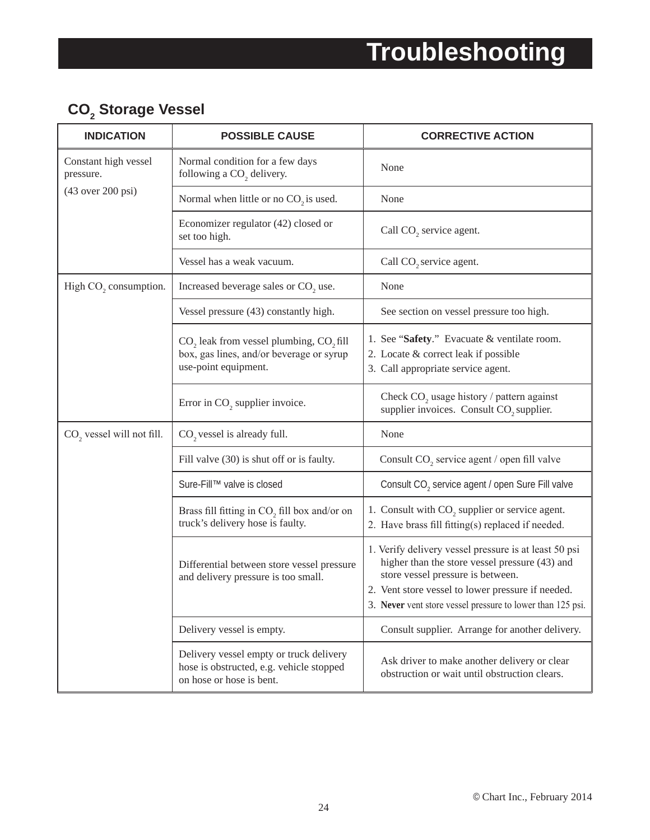## **CO2 Storage Vessel**

| <b>INDICATION</b>                     | <b>POSSIBLE CAUSE</b>                                                                                                               | <b>CORRECTIVE ACTION</b>                                                                                                                                                                                                                                        |
|---------------------------------------|-------------------------------------------------------------------------------------------------------------------------------------|-----------------------------------------------------------------------------------------------------------------------------------------------------------------------------------------------------------------------------------------------------------------|
| Constant high vessel<br>pressure.     | Normal condition for a few days<br>following a CO <sub>2</sub> delivery.                                                            | None                                                                                                                                                                                                                                                            |
| (43 over 200 psi)                     | Normal when little or no CO <sub>2</sub> is used.                                                                                   | None                                                                                                                                                                                                                                                            |
|                                       | Economizer regulator (42) closed or<br>set too high.                                                                                | Call $CO2$ service agent.                                                                                                                                                                                                                                       |
|                                       | Vessel has a weak vacuum.                                                                                                           | Call CO <sub>2</sub> service agent.                                                                                                                                                                                                                             |
| High CO <sub>2</sub> consumption.     | Increased beverage sales or CO <sub>2</sub> use.                                                                                    | None                                                                                                                                                                                                                                                            |
|                                       | Vessel pressure (43) constantly high.                                                                                               | See section on vessel pressure too high.                                                                                                                                                                                                                        |
|                                       | CO <sub>2</sub> leak from vessel plumbing, CO <sub>2</sub> fill<br>box, gas lines, and/or beverage or syrup<br>use-point equipment. | 1. See "Safety." Evacuate & ventilate room.<br>2. Locate & correct leak if possible<br>3. Call appropriate service agent.                                                                                                                                       |
|                                       | Error in CO <sub>2</sub> supplier invoice.                                                                                          | Check CO <sub>2</sub> usage history / pattern against<br>supplier invoices. Consult CO <sub>2</sub> supplier.                                                                                                                                                   |
| CO <sub>2</sub> vessel will not fill. | CO <sub>2</sub> vessel is already full.                                                                                             | None                                                                                                                                                                                                                                                            |
|                                       | Fill valve (30) is shut off or is faulty.                                                                                           | Consult $CO_2$ service agent / open fill valve                                                                                                                                                                                                                  |
|                                       | Sure-Fill™ valve is closed                                                                                                          | Consult CO <sub>2</sub> service agent / open Sure Fill valve                                                                                                                                                                                                    |
|                                       | Brass fill fitting in $CO2$ fill box and/or on<br>truck's delivery hose is faulty.                                                  | 1. Consult with CO <sub>2</sub> supplier or service agent.<br>2. Have brass fill fitting(s) replaced if needed.                                                                                                                                                 |
|                                       | Differential between store vessel pressure<br>and delivery pressure is too small.                                                   | 1. Verify delivery vessel pressure is at least 50 psi<br>higher than the store vessel pressure (43) and<br>store vessel pressure is between.<br>2. Vent store vessel to lower pressure if needed.<br>3. Never vent store vessel pressure to lower than 125 psi. |
|                                       | Delivery vessel is empty.                                                                                                           | Consult supplier. Arrange for another delivery.                                                                                                                                                                                                                 |
|                                       | Delivery vessel empty or truck delivery<br>hose is obstructed, e.g. vehicle stopped<br>on hose or hose is bent.                     | Ask driver to make another delivery or clear<br>obstruction or wait until obstruction clears.                                                                                                                                                                   |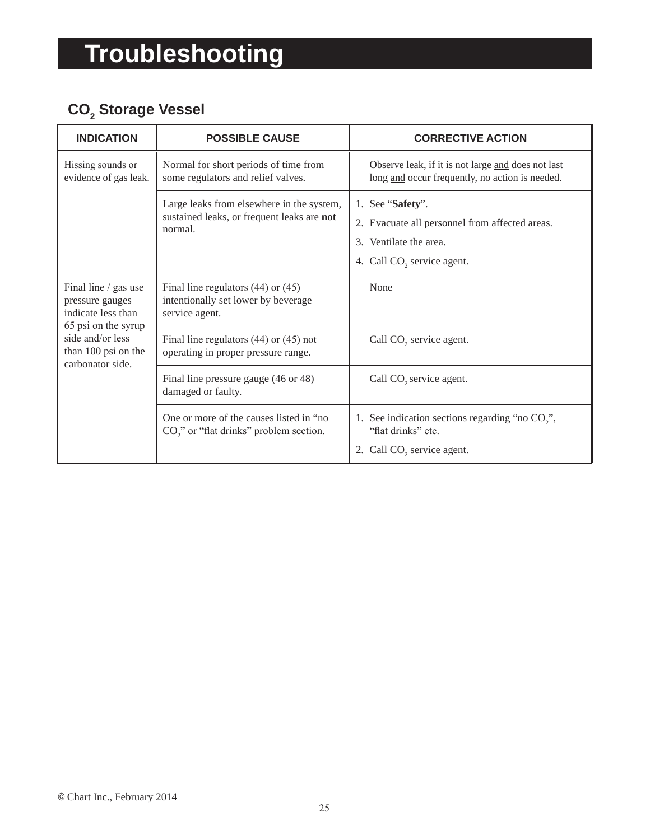## **CO2 Storage Vessel**

| <b>INDICATION</b>                                                                                                                                   | <b>POSSIBLE CAUSE</b>                                                                           | <b>CORRECTIVE ACTION</b>                                                                              |
|-----------------------------------------------------------------------------------------------------------------------------------------------------|-------------------------------------------------------------------------------------------------|-------------------------------------------------------------------------------------------------------|
| Hissing sounds or<br>evidence of gas leak.                                                                                                          | Normal for short periods of time from<br>some regulators and relief valves.                     | Observe leak, if it is not large and does not last<br>long and occur frequently, no action is needed. |
| Large leaks from elsewhere in the system,                                                                                                           |                                                                                                 | 1. See "Safety".                                                                                      |
|                                                                                                                                                     | sustained leaks, or frequent leaks are not<br>normal.                                           | 2. Evacuate all personnel from affected areas.                                                        |
|                                                                                                                                                     |                                                                                                 | 3. Ventilate the area.                                                                                |
|                                                                                                                                                     |                                                                                                 | 4. Call CO <sub>2</sub> service agent.                                                                |
| Final line / gas use<br>pressure gauges<br>indicate less than<br>65 psi on the syrup<br>side and/or less<br>than 100 psi on the<br>carbonator side. | Final line regulators $(44)$ or $(45)$<br>intentionally set lower by beverage<br>service agent. | None                                                                                                  |
|                                                                                                                                                     | Final line regulators $(44)$ or $(45)$ not<br>operating in proper pressure range.               | Call CO <sub>2</sub> service agent.                                                                   |
|                                                                                                                                                     | Final line pressure gauge (46 or 48)<br>damaged or faulty.                                      | Call CO <sub>2</sub> service agent.                                                                   |
|                                                                                                                                                     | One or more of the causes listed in "no<br>$CO2$ " or "flat drinks" problem section.            | 1. See indication sections regarding "no CO <sub>2</sub> ",<br>"flat drinks" etc                      |
|                                                                                                                                                     |                                                                                                 | 2. Call CO <sub>2</sub> service agent.                                                                |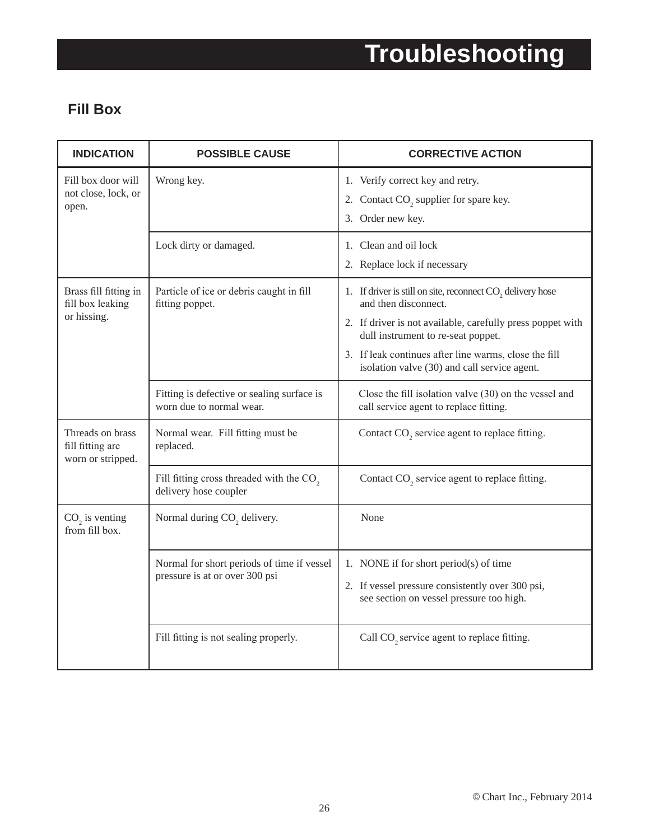### **Fill Box**

| <b>INDICATION</b>                                         | <b>POSSIBLE CAUSE</b>                                                         | <b>CORRECTIVE ACTION</b>                                                                                                                                                                                                                                                                                    |  |  |
|-----------------------------------------------------------|-------------------------------------------------------------------------------|-------------------------------------------------------------------------------------------------------------------------------------------------------------------------------------------------------------------------------------------------------------------------------------------------------------|--|--|
| Fill box door will<br>not close, lock, or<br>open.        | Wrong key.                                                                    | 1. Verify correct key and retry.<br>2. Contact CO <sub>2</sub> supplier for spare key.<br>3. Order new key.                                                                                                                                                                                                 |  |  |
|                                                           | Lock dirty or damaged.                                                        | 1. Clean and oil lock<br>2. Replace lock if necessary                                                                                                                                                                                                                                                       |  |  |
| Brass fill fitting in<br>fill box leaking<br>or hissing.  | Particle of ice or debris caught in fill<br>fitting poppet.                   | 1. If driver is still on site, reconnect CO <sub>2</sub> delivery hose<br>and then disconnect.<br>2. If driver is not available, carefully press poppet with<br>dull instrument to re-seat poppet.<br>3. If leak continues after line warms, close the fill<br>isolation valve (30) and call service agent. |  |  |
|                                                           | Fitting is defective or sealing surface is<br>worn due to normal wear.        | Close the fill isolation valve (30) on the vessel and<br>call service agent to replace fitting.                                                                                                                                                                                                             |  |  |
| Threads on brass<br>fill fitting are<br>worn or stripped. | Normal wear. Fill fitting must be<br>replaced.                                | Contact CO <sub>2</sub> service agent to replace fitting.                                                                                                                                                                                                                                                   |  |  |
|                                                           | Fill fitting cross threaded with the CO <sub>2</sub><br>delivery hose coupler | Contact CO <sub>2</sub> service agent to replace fitting.                                                                                                                                                                                                                                                   |  |  |
| $CO2$ is venting<br>from fill box.                        | Normal during CO <sub>2</sub> delivery.                                       | None                                                                                                                                                                                                                                                                                                        |  |  |
|                                                           | Normal for short periods of time if vessel<br>pressure is at or over 300 psi  | 1. NONE if for short period(s) of time<br>2. If vessel pressure consistently over 300 psi,<br>see section on vessel pressure too high.                                                                                                                                                                      |  |  |
|                                                           | Fill fitting is not sealing properly.                                         | Call CO <sub>2</sub> service agent to replace fitting.                                                                                                                                                                                                                                                      |  |  |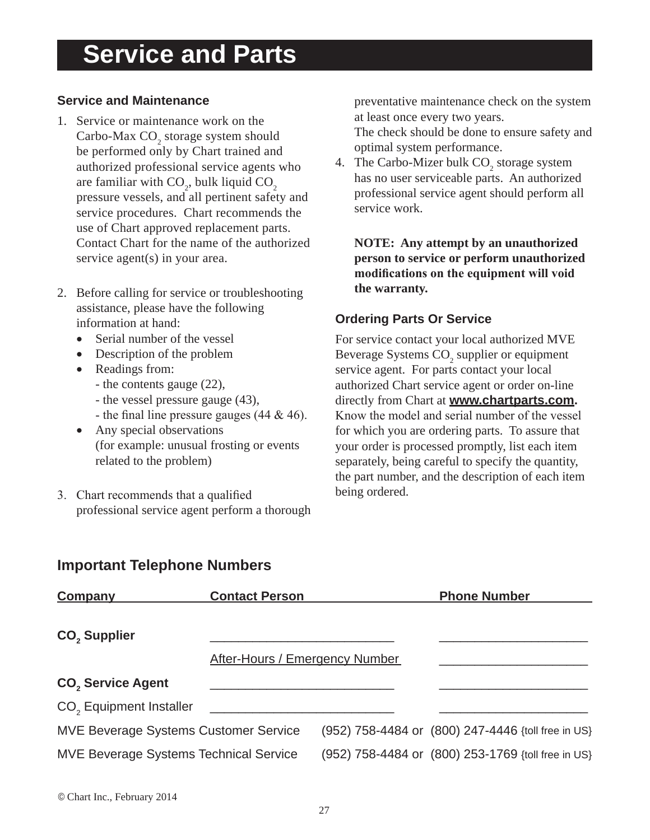## **Service and Parts**

#### **Service and Maintenance**

- 1. Service or maintenance work on the Carbo-Max  $CO_2$  storage system should be performed only by Chart trained and authorized professional service agents who are familiar with  $CO_2$ , bulk liquid  $CO_2$ pressure vessels, and all pertinent safety and service procedures. Chart recommends the use of Chart approved replacement parts. Contact Chart for the name of the authorized service agent(s) in your area.
- 2. Before calling for service or troubleshooting assistance, please have the following information at hand:
	- Serial number of the vessel
	- Description of the problem
	- Readings from:
		- the contents gauge (22),
		- the vessel pressure gauge (43),
		- the final line pressure gauges  $(44 \& 46)$ .
	- Any special observations (for example: unusual frosting or events related to the problem)
- 3. Chart recommends that a qualified professional service agent perform a thorough

preventative maintenance check on the system at least once every two years.

The check should be done to ensure safety and optimal system performance.

4. The Carbo-Mizer bulk  $CO_2$  storage system has no user serviceable parts. An authorized professional service agent should perform all service work.

**NOTE: Any attempt by an unauthorized person to service or perform unauthorized modifications on the equipment will void the warranty.**

#### **Ordering Parts Or Service**

For service contact your local authorized MVE Beverage Systems  $CO<sub>2</sub>$  supplier or equipment service agent. For parts contact your local authorized Chart service agent or order on-line directly from Chart at **www.chartparts.com.** Know the model and serial number of the vessel for which you are ordering parts. To assure that your order is processed promptly, list each item separately, being careful to specify the quantity, the part number, and the description of each item being ordered.

#### **Important Telephone Numbers**

| Company                                       | <b>Contact Person</b>          |                                                    | <b>Phone Number</b> |  |
|-----------------------------------------------|--------------------------------|----------------------------------------------------|---------------------|--|
| <b>CO<sub>2</sub></b> Supplier                |                                |                                                    |                     |  |
|                                               | After-Hours / Emergency Number |                                                    |                     |  |
| <b>CO<sub>2</sub></b> Service Agent           |                                |                                                    |                     |  |
| CO <sub>2</sub> Equipment Installer           |                                |                                                    |                     |  |
| <b>MVE Beverage Systems Customer Service</b>  |                                | (952) 758-4484 or (800) 247-4446 {toll free in US} |                     |  |
| <b>MVE Beverage Systems Technical Service</b> |                                | (952) 758-4484 or (800) 253-1769 {toll free in US} |                     |  |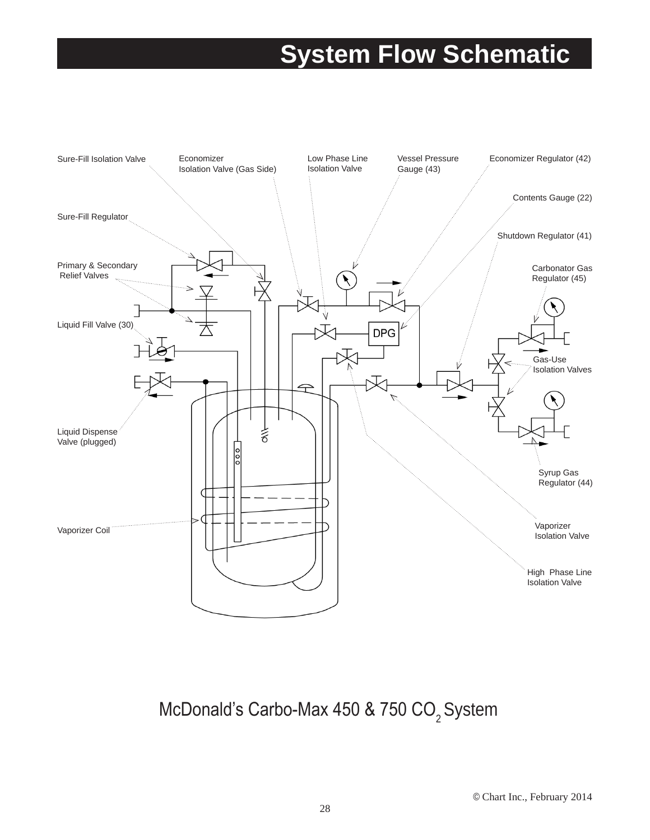# **System Flow Schematic**



## McDonald's Carbo-Max 450 & 750  $CO<sub>2</sub>$  System